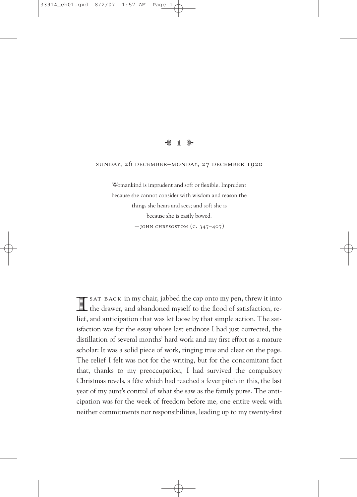# $*$  1  $*$

## sunday, 26 december–monday, 27 december 1920

Womankind is imprudent and soft or flexible. Imprudent because she cannot consider with wisdom and reason the things she hears and sees; and soft she is because she is easily bowed.  $-$ JOHN CHRYSOSTOM (c. 347–407)

ISAT BACK in my chair, jabbed the cap onto my pen, threw it into **I** the drawer, and abandoned myself to the flood of satisfaction, relief, and anticipation that was let loose by that simple action. The satisfaction was for the essay whose last endnote I had just corrected, the distillation of several months' hard work and my first effort as a mature scholar: It was a solid piece of work, ringing true and clear on the page. The relief I felt was not for the writing, but for the concomitant fact that, thanks to my preoccupation, I had survived the compulsory Christmas revels, a fête which had reached a fever pitch in this, the last year of my aunt's control of what she saw as the family purse. The anticipation was for the week of freedom before me, one entire week with neither commitments nor responsibilities, leading up to my twenty-first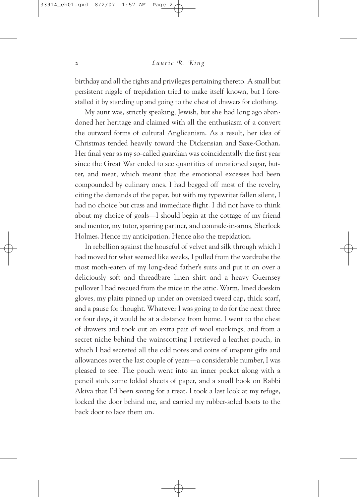birthday and all the rights and privileges pertaining thereto. A small but persistent niggle of trepidation tried to make itself known, but I forestalled it by standing up and going to the chest of drawers for clothing.

My aunt was, strictly speaking, Jewish, but she had long ago abandoned her heritage and claimed with all the enthusiasm of a convert the outward forms of cultural Anglicanism. As a result, her idea of Christmas tended heavily toward the Dickensian and Saxe-Gothan. Her final year as my so-called guardian was coincidentally the first year since the Great War ended to see quantities of unrationed sugar, butter, and meat, which meant that the emotional excesses had been compounded by culinary ones. I had begged off most of the revelry, citing the demands of the paper, but with my typewriter fallen silent, I had no choice but crass and immediate flight. I did not have to think about my choice of goals—I should begin at the cottage of my friend and mentor, my tutor, sparring partner, and comrade-in-arms, Sherlock Holmes. Hence my anticipation. Hence also the trepidation.

In rebellion against the houseful of velvet and silk through which I had moved for what seemed like weeks, I pulled from the wardrobe the most moth-eaten of my long-dead father's suits and put it on over a deliciously soft and threadbare linen shirt and a heavy Guernsey pullover I had rescued from the mice in the attic. Warm, lined doeskin gloves, my plaits pinned up under an oversized tweed cap, thick scarf, and a pause for thought. Whatever I was going to do for the next three or four days, it would be at a distance from home. I went to the chest of drawers and took out an extra pair of wool stockings, and from a secret niche behind the wainscotting I retrieved a leather pouch, in which I had secreted all the odd notes and coins of unspent gifts and allowances over the last couple of years—a considerable number, I was pleased to see. The pouch went into an inner pocket along with a pencil stub, some folded sheets of paper, and a small book on Rabbi Akiva that I'd been saving for a treat. I took a last look at my refuge, locked the door behind me, and carried my rubber-soled boots to the back door to lace them on.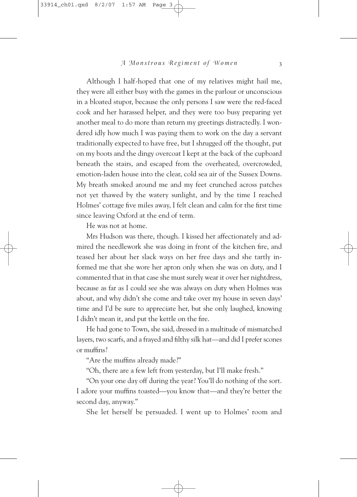Although I half-hoped that one of my relatives might hail me, they were all either busy with the games in the parlour or unconscious in a bloated stupor, because the only persons I saw were the red-faced cook and her harassed helper, and they were too busy preparing yet another meal to do more than return my greetings distractedly. I wondered idly how much I was paying them to work on the day a servant traditionally expected to have free, but I shrugged off the thought, put on my boots and the dingy overcoat I kept at the back of the cupboard beneath the stairs, and escaped from the overheated, overcrowded, emotion-laden house into the clear, cold sea air of the Sussex Downs. My breath smoked around me and my feet crunched across patches not yet thawed by the watery sunlight, and by the time I reached Holmes' cottage five miles away, I felt clean and calm for the first time since leaving Oxford at the end of term.

He was not at home.

Mrs Hudson was there, though. I kissed her affectionately and admired the needlework she was doing in front of the kitchen fire, and teased her about her slack ways on her free days and she tartly informed me that she wore her apron only when she was on duty, and I commented that in that case she must surely wear it over her nightdress, because as far as I could see she was always on duty when Holmes was about, and why didn't she come and take over my house in seven days' time and I'd be sure to appreciate her, but she only laughed, knowing I didn't mean it, and put the kettle on the fire.

He had gone to Town, she said, dressed in a multitude of mismatched layers, two scarfs, and a frayed and filthy silk hat—and did I prefer scones or muffins?

"Are the muffins already made?"

"Oh, there are a few left from yesterday, but I'll make fresh."

"On your one day off during the year? You'll do nothing of the sort. I adore your muffins toasted—you know that—and they're better the second day, anyway."

She let herself be persuaded. I went up to Holmes' room and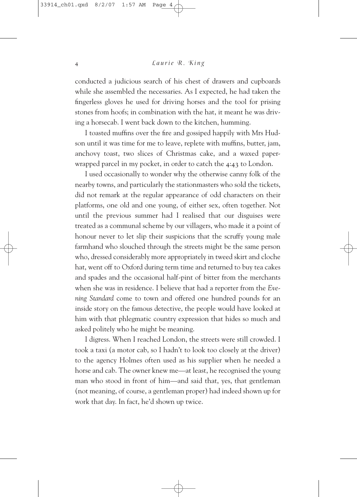conducted a judicious search of his chest of drawers and cupboards while she assembled the necessaries. As I expected, he had taken the fingerless gloves he used for driving horses and the tool for prising stones from hoofs; in combination with the hat, it meant he was driving a horsecab. I went back down to the kitchen, humming.

I toasted muffins over the fire and gossiped happily with Mrs Hudson until it was time for me to leave, replete with muffins, butter, jam, anchovy toast, two slices of Christmas cake, and a waxed paperwrapped parcel in my pocket, in order to catch the 4:43 to London.

I used occasionally to wonder why the otherwise canny folk of the nearby towns, and particularly the stationmasters who sold the tickets, did not remark at the regular appearance of odd characters on their platforms, one old and one young, of either sex, often together. Not until the previous summer had I realised that our disguises were treated as a communal scheme by our villagers, who made it a point of honour never to let slip their suspicions that the scruffy young male farmhand who slouched through the streets might be the same person who, dressed considerably more appropriately in tweed skirt and cloche hat, went off to Oxford during term time and returned to buy tea cakes and spades and the occasional half-pint of bitter from the merchants when she was in residence. I believe that had a reporter from the *Evening Standard* come to town and offered one hundred pounds for an inside story on the famous detective, the people would have looked at him with that phlegmatic country expression that hides so much and asked politely who he might be meaning.

I digress. When I reached London, the streets were still crowded. I took a taxi (a motor cab, so I hadn't to look too closely at the driver) to the agency Holmes often used as his supplier when he needed a horse and cab. The owner knew me—at least, he recognised the young man who stood in front of him—and said that, yes, that gentleman (not meaning, of course, a gentleman proper) had indeed shown up for work that day. In fact, he'd shown up twice.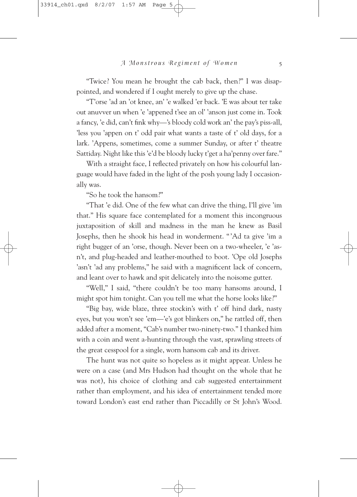"Twice? You mean he brought the cab back, then?" I was disappointed, and wondered if I ought merely to give up the chase.

"T'orse 'ad an 'ot knee, an' 'e walked 'er back. 'E was about ter take out anuvver un when 'e 'appened t'see an ol' 'anson just come in. Took a fancy, 'e did, can't fink why—'s bloody cold work an' the pay's piss-all, 'less you 'appen on t' odd pair what wants a taste of t' old days, for a lark. 'Appens, sometimes, come a summer Sunday, or after t' theatre Sattiday. Night like this 'e'd be bloody lucky t'get a ha'penny over fare."

With a straight face, I reflected privately on how his colourful language would have faded in the light of the posh young lady I occasionally was.

"So he took the hansom?"

"That 'e did. One of the few what can drive the thing, I'll give 'im that." His square face contemplated for a moment this incongruous juxtaposition of skill and madness in the man he knew as Basil Josephs, then he shook his head in wonderment. " 'Ad ta give 'im a right bugger of an 'orse, though. Never been on a two-wheeler, 'e 'asn't, and plug-headed and leather-mouthed to boot. 'Ope old Josephs 'asn't 'ad any problems," he said with a magnificent lack of concern, and leant over to hawk and spit delicately into the noisome gutter.

"Well," I said, "there couldn't be too many hansoms around, I might spot him tonight. Can you tell me what the horse looks like?"

"Big bay, wide blaze, three stockin's with t' off hind dark, nasty eyes, but you won't see 'em—'e's got blinkers on," he rattled off, then added after a moment, "Cab's number two-ninety-two." I thanked him with a coin and went a-hunting through the vast, sprawling streets of the great cesspool for a single, worn hansom cab and its driver.

The hunt was not quite so hopeless as it might appear. Unless he were on a case (and Mrs Hudson had thought on the whole that he was not), his choice of clothing and cab suggested entertainment rather than employment, and his idea of entertainment tended more toward London's east end rather than Piccadilly or St John's Wood.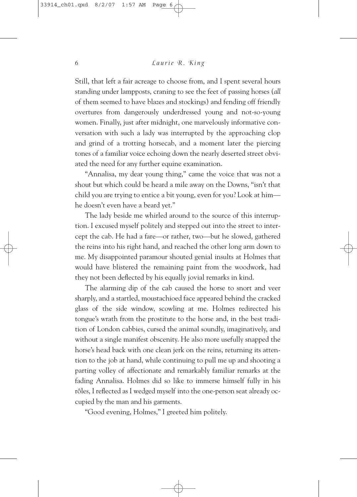Still, that left a fair acreage to choose from, and I spent several hours standing under lampposts, craning to see the feet of passing horses (*all* of them seemed to have blazes and stockings) and fending off friendly overtures from dangerously underdressed young and not-so-young women. Finally, just after midnight, one marvelously informative conversation with such a lady was interrupted by the approaching clop and grind of a trotting horsecab, and a moment later the piercing tones of a familiar voice echoing down the nearly deserted street obviated the need for any further equine examination.

"Annalisa, my dear young thing," came the voice that was not a shout but which could be heard a mile away on the Downs, "isn't that child you are trying to entice a bit young, even for you? Look at him he doesn't even have a beard yet."

The lady beside me whirled around to the source of this interruption. I excused myself politely and stepped out into the street to intercept the cab. He had a fare—or rather, two—but he slowed, gathered the reins into his right hand, and reached the other long arm down to me. My disappointed paramour shouted genial insults at Holmes that would have blistered the remaining paint from the woodwork, had they not been deflected by his equally jovial remarks in kind.

The alarming dip of the cab caused the horse to snort and veer sharply, and a startled, moustachioed face appeared behind the cracked glass of the side window, scowling at me. Holmes redirected his tongue's wrath from the prostitute to the horse and, in the best tradition of London cabbies, cursed the animal soundly, imaginatively, and without a single manifest obscenity. He also more usefully snapped the horse's head back with one clean jerk on the reins, returning its attention to the job at hand, while continuing to pull me up and shooting a parting volley of affectionate and remarkably familiar remarks at the fading Annalisa. Holmes did so like to immerse himself fully in his rôles, I reflected as I wedged myself into the one-person seat already occupied by the man and his garments.

"Good evening, Holmes," I greeted him politely.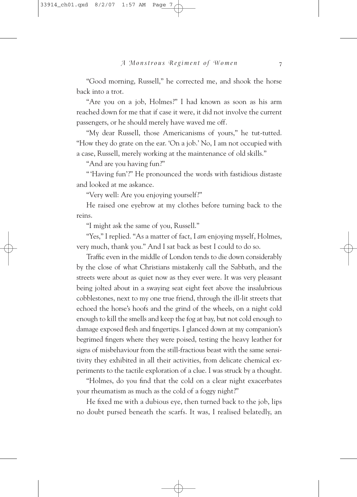"Good morning, Russell," he corrected me, and shook the horse back into a trot.

"Are you on a job, Holmes?" I had known as soon as his arm reached down for me that if case it were, it did not involve the current passengers, or he should merely have waved me off.

"My dear Russell, those Americanisms of yours," he tut-tutted. "How they do grate on the ear. 'On a job.' No, I am not occupied with a case, Russell, merely working at the maintenance of old skills."

"And are you having fun?"

" 'Having fun'?" He pronounced the words with fastidious distaste and looked at me askance.

"Very well: Are you enjoying yourself?"

He raised one eyebrow at my clothes before turning back to the reins.

"I might ask the same of you, Russell."

"Yes," I replied. "As a matter of fact, I *am* enjoying myself, Holmes, very much, thank you." And I sat back as best I could to do so.

Traffic even in the middle of London tends to die down considerably by the close of what Christians mistakenly call the Sabbath, and the streets were about as quiet now as they ever were. It was very pleasant being jolted about in a swaying seat eight feet above the insalubrious cobblestones, next to my one true friend, through the ill-lit streets that echoed the horse's hoofs and the grind of the wheels, on a night cold enough to kill the smells and keep the fog at bay, but not cold enough to damage exposed flesh and fingertips. I glanced down at my companion's begrimed fingers where they were poised, testing the heavy leather for signs of misbehaviour from the still-fractious beast with the same sensitivity they exhibited in all their activities, from delicate chemical experiments to the tactile exploration of a clue. I was struck by a thought.

"Holmes, do you find that the cold on a clear night exacerbates your rheumatism as much as the cold of a foggy night?"

He fixed me with a dubious eye, then turned back to the job, lips no doubt pursed beneath the scarfs. It was, I realised belatedly, an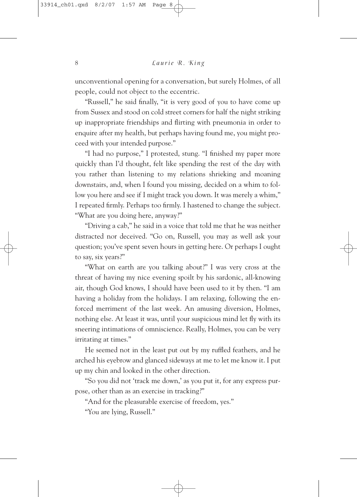unconventional opening for a conversation, but surely Holmes, of all people, could not object to the eccentric.

"Russell," he said finally, "it is very good of you to have come up from Sussex and stood on cold street corners for half the night striking up inappropriate friendships and flirting with pneumonia in order to enquire after my health, but perhaps having found me, you might proceed with your intended purpose."

"I had no purpose," I protested, stung. "I finished my paper more quickly than I'd thought, felt like spending the rest of the day with you rather than listening to my relations shrieking and moaning downstairs, and, when I found you missing, decided on a whim to follow you here and see if I might track you down. It was merely a whim," I repeated firmly. Perhaps too firmly. I hastened to change the subject. "What are you doing here, anyway?"

"Driving a cab," he said in a voice that told me that he was neither distracted nor deceived. "Go on, Russell, you may as well ask your question; you've spent seven hours in getting here. Or perhaps I ought to say, six years?"

"What on earth are you talking about?" I was very cross at the threat of having my nice evening spoilt by his sardonic, all-knowing air, though God knows, I should have been used to it by then. "I am having a holiday from the holidays. I am relaxing, following the enforced merriment of the last week. An amusing diversion, Holmes, nothing else. At least it was, until your suspicious mind let fly with its sneering intimations of omniscience. Really, Holmes, you can be very irritating at times."

He seemed not in the least put out by my ruffled feathers, and he arched his eyebrow and glanced sideways at me to let me know it. I put up my chin and looked in the other direction.

"So you did not 'track me down,' as you put it, for any express purpose, other than as an exercise in tracking?"

"And for the pleasurable exercise of freedom, yes."

"You are lying, Russell."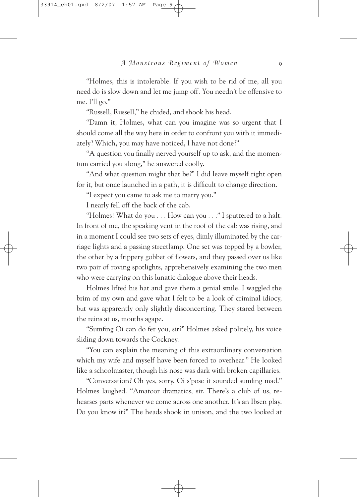"Holmes, this is intolerable. If you wish to be rid of me, all you need do is slow down and let me jump off. You needn't be offensive to me. I'll go."

"Russell, Russell," he chided, and shook his head.

"Damn it, Holmes, what can you imagine was so urgent that I should come all the way here in order to confront you with it immediately? Which, you may have noticed, I have not done?"

"A question you finally nerved yourself up to ask, and the momentum carried you along," he answered coolly.

"And what question might that be?" I did leave myself right open for it, but once launched in a path, it is difficult to change direction.

"I expect you came to ask me to marry you."

I nearly fell off the back of the cab.

"Holmes! What do you . . . How can you . . ." I sputtered to a halt. In front of me, the speaking vent in the roof of the cab was rising, and in a moment I could see two sets of eyes, dimly illuminated by the carriage lights and a passing streetlamp. One set was topped by a bowler, the other by a frippery gobbet of flowers, and they passed over us like two pair of roving spotlights, apprehensively examining the two men who were carrying on this lunatic dialogue above their heads.

Holmes lifted his hat and gave them a genial smile. I waggled the brim of my own and gave what I felt to be a look of criminal idiocy, but was apparently only slightly disconcerting. They stared between the reins at us, mouths agape.

"Sumfing Oi can do fer you, sir?" Holmes asked politely, his voice sliding down towards the Cockney.

"You can explain the meaning of this extraordinary conversation which my wife and myself have been forced to overhear." He looked like a schoolmaster, though his nose was dark with broken capillaries.

"Conversation? Oh yes, sorry, Oi s'pose it sounded sumfing mad." Holmes laughed. "Amatoor dramatics, sir. There's a club of us, rehearses parts whenever we come across one another. It's an Ibsen play. Do you know it?" The heads shook in unison, and the two looked at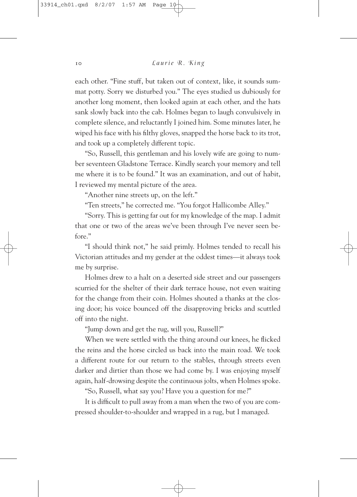each other. "Fine stuff, but taken out of context, like, it sounds summat potty. Sorry we disturbed you." The eyes studied us dubiously for another long moment, then looked again at each other, and the hats sank slowly back into the cab. Holmes began to laugh convulsively in complete silence, and reluctantly I joined him. Some minutes later, he wiped his face with his filthy gloves, snapped the horse back to its trot, and took up a completely different topic.

"So, Russell, this gentleman and his lovely wife are going to number seventeen Gladstone Terrace. Kindly search your memory and tell me where it is to be found." It was an examination, and out of habit, I reviewed my mental picture of the area.

"Another nine streets up, on the left."

"Ten streets," he corrected me. "You forgot Hallicombe Alley."

"Sorry. This is getting far out for my knowledge of the map. I admit that one or two of the areas we've been through I've never seen before."

"I should think not," he said primly. Holmes tended to recall his Victorian attitudes and my gender at the oddest times—it always took me by surprise.

Holmes drew to a halt on a deserted side street and our passengers scurried for the shelter of their dark terrace house, not even waiting for the change from their coin. Holmes shouted a thanks at the closing door; his voice bounced off the disapproving bricks and scuttled off into the night.

"Jump down and get the rug, will you, Russell?"

When we were settled with the thing around our knees, he flicked the reins and the horse circled us back into the main road. We took a different route for our return to the stables, through streets even darker and dirtier than those we had come by. I was enjoying myself again, half-drowsing despite the continuous jolts, when Holmes spoke.

"So, Russell, what say you? Have you a question for me?"

It is difficult to pull away from a man when the two of you are compressed shoulder-to-shoulder and wrapped in a rug, but I managed.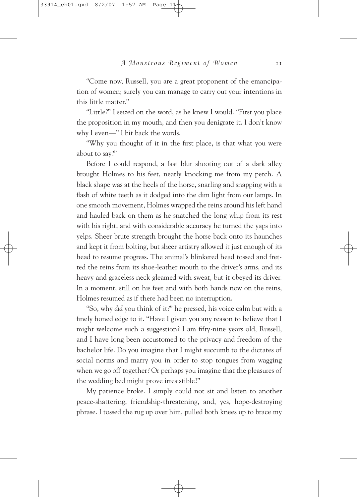"Come now, Russell, you are a great proponent of the emancipation of women; surely you can manage to carry out your intentions in this little matter."

"Little?" I seized on the word, as he knew I would. "First you place the proposition in my mouth, and then you denigrate it. I don't know why I even—" I bit back the words.

"Why you thought of it in the first place, is that what you were about to say?"

Before I could respond, a fast blur shooting out of a dark alley brought Holmes to his feet, nearly knocking me from my perch. A black shape was at the heels of the horse, snarling and snapping with a flash of white teeth as it dodged into the dim light from our lamps. In one smooth movement, Holmes wrapped the reins around his left hand and hauled back on them as he snatched the long whip from its rest with his right, and with considerable accuracy he turned the yaps into yelps. Sheer brute strength brought the horse back onto its haunches and kept it from bolting, but sheer artistry allowed it just enough of its head to resume progress. The animal's blinkered head tossed and fretted the reins from its shoe-leather mouth to the driver's arms, and its heavy and graceless neck gleamed with sweat, but it obeyed its driver. In a moment, still on his feet and with both hands now on the reins, Holmes resumed as if there had been no interruption.

"So, why *did* you think of it?" he pressed, his voice calm but with a finely honed edge to it. "Have I given you any reason to believe that I might welcome such a suggestion? I am fifty-nine years old, Russell, and I have long been accustomed to the privacy and freedom of the bachelor life. Do you imagine that I might succumb to the dictates of social norms and marry you in order to stop tongues from wagging when we go off together? Or perhaps you imagine that the pleasures of the wedding bed might prove irresistible?"

My patience broke. I simply could not sit and listen to another peace-shattering, friendship-threatening, and, yes, hope-destroying phrase. I tossed the rug up over him, pulled both knees up to brace my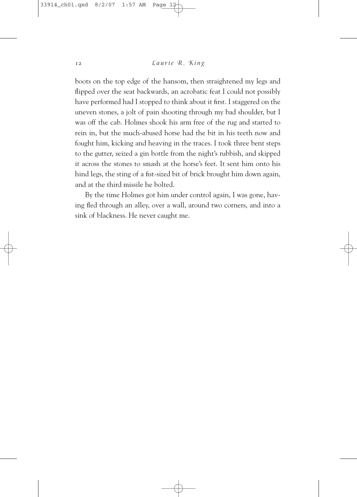boots on the top edge of the hansom, then straightened my legs and flipped over the seat backwards, an acrobatic feat I could not possibly have performed had I stopped to think about it first. I staggered on the uneven stones, a jolt of pain shooting through my bad shoulder, but I was off the cab. Holmes shook his arm free of the rug and started to rein in, but the much-abused horse had the bit in his teeth now and fought him, kicking and heaving in the traces. I took three bent steps to the gutter, seized a gin bottle from the night's rubbish, and skipped it across the stones to smash at the horse's feet. It sent him onto his hind legs, the sting of a fist-sized bit of brick brought him down again, and at the third missile he bolted.

By the time Holmes got him under control again, I was gone, having fled through an alley, over a wall, around two corners, and into a sink of blackness. He never caught me.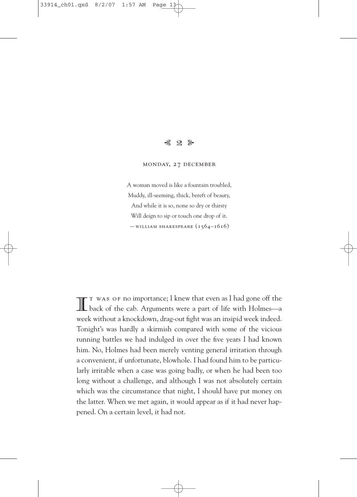## $*$  2  $*$

### monday, 27 december

A woman moved is like a fountain troubled, Muddy, ill-seeming, thick, bereft of beauty, And while it is so, none so dry or thirsty Will deign to sip or touch one drop of it.  $-$ WILLIAM SHAKESPEARE (1564–1616)

It was of no importance; I knew that even as I had gone off the back of the cab. Arguments were a part of life with Holmes—a week without a knockdown, drag-out fight was an insipid week indeed. Tonight's was hardly a skirmish compared with some of the vicious running battles we had indulged in over the five years I had known him. No, Holmes had been merely venting general irritation through a convenient, if unfortunate, blowhole. I had found him to be particularly irritable when a case was going badly, or when he had been too long without a challenge, and although I was not absolutely certain which was the circumstance that night, I should have put money on the latter. When we met again, it would appear as if it had never happened. On a certain level, it had not.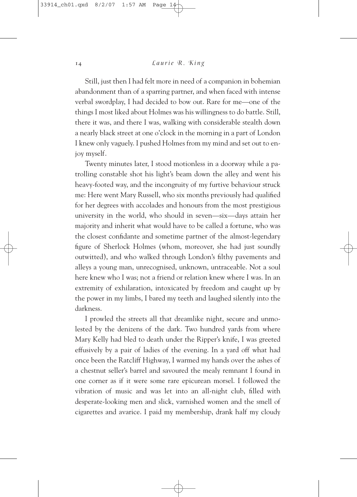Still, just then I had felt more in need of a companion in bohemian abandonment than of a sparring partner, and when faced with intense verbal swordplay, I had decided to bow out. Rare for me—one of the things I most liked about Holmes was his willingness to do battle. Still, there it was, and there I was, walking with considerable stealth down a nearly black street at one o'clock in the morning in a part of London I knew only vaguely. I pushed Holmes from my mind and set out to enjoy myself.

Twenty minutes later, I stood motionless in a doorway while a patrolling constable shot his light's beam down the alley and went his heavy-footed way, and the incongruity of my furtive behaviour struck me: Here went Mary Russell, who six months previously had qualified for her degrees with accolades and honours from the most prestigious university in the world, who should in seven—six—days attain her majority and inherit what would have to be called a fortune, who was the closest confidante and sometime partner of the almost-legendary figure of Sherlock Holmes (whom, moreover, she had just soundly outwitted), and who walked through London's filthy pavements and alleys a young man, unrecognised, unknown, untraceable. Not a soul here knew who I was; not a friend or relation knew where I was. In an extremity of exhilaration, intoxicated by freedom and caught up by the power in my limbs, I bared my teeth and laughed silently into the darkness.

I prowled the streets all that dreamlike night, secure and unmolested by the denizens of the dark. Two hundred yards from where Mary Kelly had bled to death under the Ripper's knife, I was greeted effusively by a pair of ladies of the evening. In a yard off what had once been the Ratcliff Highway, I warmed my hands over the ashes of a chestnut seller's barrel and savoured the mealy remnant I found in one corner as if it were some rare epicurean morsel. I followed the vibration of music and was let into an all-night club, filled with desperate-looking men and slick, varnished women and the smell of cigarettes and avarice. I paid my membership, drank half my cloudy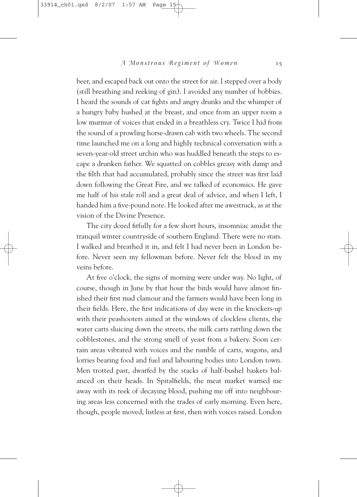beer, and escaped back out onto the street for air. I stepped over a body (still breathing and reeking of gin). I avoided any number of bobbies. I heard the sounds of cat fights and angry drunks and the whimper of a hungry baby hushed at the breast, and once from an upper room a low murmur of voices that ended in a breathless cry. Twice I hid from the sound of a prowling horse-drawn cab with two wheels. The second time launched me on a long and highly technical conversation with a seven-year-old street urchin who was huddled beneath the steps to escape a drunken father. We squatted on cobbles greasy with damp and the filth that had accumulated, probably since the street was first laid down following the Great Fire, and we talked of economics. He gave me half of his stale roll and a great deal of advice, and when I left, I handed him a five-pound note. He looked after me awestruck, as at the vision of the Divine Presence.

The city dozed fitfully for a few short hours, insomniac amidst the tranquil winter countryside of southern England. There were no stars. I walked and breathed it in, and felt I had never been in London before. Never seen my fellowman before. Never felt the blood in my veins before.

At five o'clock, the signs of morning were under way. No light, of course, though in June by that hour the birds would have almost finished their first mad clamour and the farmers would have been long in their fields. Here, the first indications of day were in the knockers-up with their peashooters aimed at the windows of clockless clients, the water carts sluicing down the streets, the milk carts rattling down the cobblestones, and the strong smell of yeast from a bakery. Soon certain areas vibrated with voices and the rumble of carts, wagons, and lorries bearing food and fuel and labouring bodies into London town. Men trotted past, dwarfed by the stacks of half-bushel baskets balanced on their heads. In Spitalfields, the meat market warned me away with its reek of decaying blood, pushing me off into neighbouring areas less concerned with the trades of early morning. Even here, though, people moved, listless at first, then with voices raised. London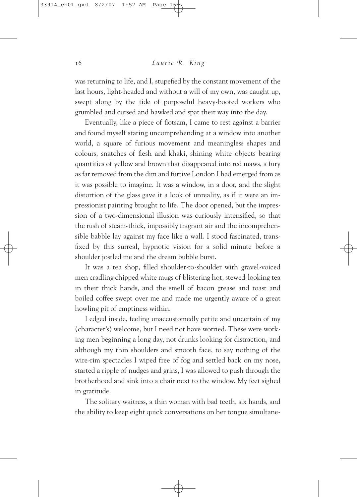was returning to life, and I, stupefied by the constant movement of the last hours, light-headed and without a will of my own, was caught up, swept along by the tide of purposeful heavy-booted workers who grumbled and cursed and hawked and spat their way into the day.

Eventually, like a piece of flotsam, I came to rest against a barrier and found myself staring uncomprehending at a window into another world, a square of furious movement and meaningless shapes and colours, snatches of flesh and khaki, shining white objects bearing quantities of yellow and brown that disappeared into red maws, a fury as far removed from the dim and furtive London I had emerged from as it was possible to imagine. It was a window, in a door, and the slight distortion of the glass gave it a look of unreality, as if it were an impressionist painting brought to life. The door opened, but the impression of a two-dimensional illusion was curiously intensified, so that the rush of steam-thick, impossibly fragrant air and the incomprehensible babble lay against my face like a wall. I stood fascinated, transfixed by this surreal, hypnotic vision for a solid minute before a shoulder jostled me and the dream bubble burst.

It was a tea shop, filled shoulder-to-shoulder with gravel-voiced men cradling chipped white mugs of blistering hot, stewed-looking tea in their thick hands, and the smell of bacon grease and toast and boiled coffee swept over me and made me urgently aware of a great howling pit of emptiness within.

I edged inside, feeling unaccustomedly petite and uncertain of my (character's) welcome, but I need not have worried. These were working men beginning a long day, not drunks looking for distraction, and although my thin shoulders and smooth face, to say nothing of the wire-rim spectacles I wiped free of fog and settled back on my nose, started a ripple of nudges and grins, I was allowed to push through the brotherhood and sink into a chair next to the window. My feet sighed in gratitude.

The solitary waitress, a thin woman with bad teeth, six hands, and the ability to keep eight quick conversations on her tongue simultane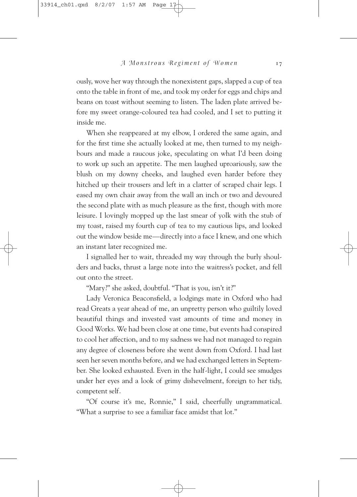ously, wove her way through the nonexistent gaps, slapped a cup of tea onto the table in front of me, and took my order for eggs and chips and beans on toast without seeming to listen. The laden plate arrived before my sweet orange-coloured tea had cooled, and I set to putting it inside me.

When she reappeared at my elbow, I ordered the same again, and for the first time she actually looked at me, then turned to my neighbours and made a raucous joke, speculating on what I'd been doing to work up such an appetite. The men laughed uproariously, saw the blush on my downy cheeks, and laughed even harder before they hitched up their trousers and left in a clatter of scraped chair legs. I eased my own chair away from the wall an inch or two and devoured the second plate with as much pleasure as the first, though with more leisure. I lovingly mopped up the last smear of yolk with the stub of my toast, raised my fourth cup of tea to my cautious lips, and looked out the window beside me—directly into a face I knew, and one which an instant later recognized me.

I signalled her to wait, threaded my way through the burly shoulders and backs, thrust a large note into the waitress's pocket, and fell out onto the street.

"Mary?" she asked, doubtful. "That is you, isn't it?"

Lady Veronica Beaconsfield, a lodgings mate in Oxford who had read Greats a year ahead of me, an unpretty person who guiltily loved beautiful things and invested vast amounts of time and money in Good Works. We had been close at one time, but events had conspired to cool her affection, and to my sadness we had not managed to regain any degree of closeness before she went down from Oxford. I had last seen her seven months before, and we had exchanged letters in September. She looked exhausted. Even in the half-light, I could see smudges under her eyes and a look of grimy dishevelment, foreign to her tidy, competent self.

"Of course it's me, Ronnie," I said, cheerfully ungrammatical. "What a surprise to see a familiar face amidst that lot."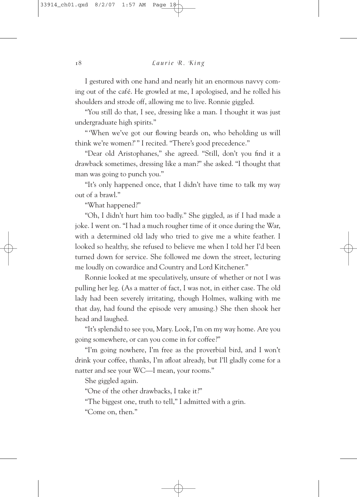I gestured with one hand and nearly hit an enormous navvy coming out of the café. He growled at me, I apologised, and he rolled his shoulders and strode off, allowing me to live. Ronnie giggled.

"You still do that, I see, dressing like a man. I thought it was just undergraduate high spirits."

" 'When we've got our flowing beards on, who beholding us will think we're women?' " I recited. "There's good precedence."

"Dear old Aristophanes," she agreed. "Still, don't you find it a drawback sometimes, dressing like a man?" she asked. "I thought that man was going to punch you."

"It's only happened once, that I didn't have time to talk my way out of a brawl."

"What happened?"

"Oh, I didn't hurt him too badly." She giggled, as if I had made a joke. I went on. "I had a much rougher time of it once during the War, with a determined old lady who tried to give me a white feather. I looked so healthy, she refused to believe me when I told her I'd been turned down for service. She followed me down the street, lecturing me loudly on cowardice and Country and Lord Kitchener."

Ronnie looked at me speculatively, unsure of whether or not I was pulling her leg. (As a matter of fact, I was not, in either case. The old lady had been severely irritating, though Holmes, walking with me that day, had found the episode very amusing.) She then shook her head and laughed.

"It's splendid to see you, Mary. Look, I'm on my way home. Are you going somewhere, or can you come in for coffee?"

"I'm going nowhere, I'm free as the proverbial bird, and I won't drink your coffee, thanks, I'm afloat already, but I'll gladly come for a natter and see your WC—I mean, your rooms."

She giggled again.

"One of the other drawbacks, I take it?"

"The biggest one, truth to tell," I admitted with a grin.

"Come on, then."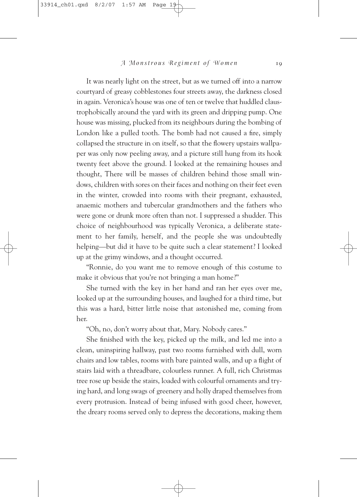It was nearly light on the street, but as we turned off into a narrow courtyard of greasy cobblestones four streets away, the darkness closed in again. Veronica's house was one of ten or twelve that huddled claustrophobically around the yard with its green and dripping pump. One house was missing, plucked from its neighbours during the bombing of London like a pulled tooth. The bomb had not caused a fire, simply collapsed the structure in on itself, so that the flowery upstairs wallpaper was only now peeling away, and a picture still hung from its hook twenty feet above the ground. I looked at the remaining houses and thought, There will be masses of children behind those small windows, children with sores on their faces and nothing on their feet even in the winter, crowded into rooms with their pregnant, exhausted, anaemic mothers and tubercular grandmothers and the fathers who were gone or drunk more often than not. I suppressed a shudder. This choice of neighbourhood was typically Veronica, a deliberate statement to her family, herself, and the people she was undoubtedly helping—but did it have to be quite such a clear statement? I looked up at the grimy windows, and a thought occurred.

"Ronnie, do you want me to remove enough of this costume to make it obvious that you're not bringing a man home?"

She turned with the key in her hand and ran her eyes over me, looked up at the surrounding houses, and laughed for a third time, but this was a hard, bitter little noise that astonished me, coming from her.

"Oh, no, don't worry about that, Mary. Nobody cares."

She finished with the key, picked up the milk, and led me into a clean, uninspiring hallway, past two rooms furnished with dull, worn chairs and low tables, rooms with bare painted walls, and up a flight of stairs laid with a threadbare, colourless runner. A full, rich Christmas tree rose up beside the stairs, loaded with colourful ornaments and trying hard, and long swags of greenery and holly draped themselves from every protrusion. Instead of being infused with good cheer, however, the dreary rooms served only to depress the decorations, making them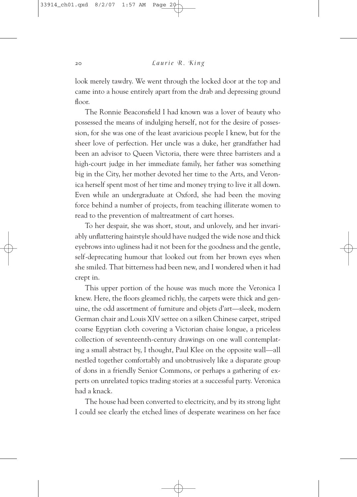look merely tawdry. We went through the locked door at the top and came into a house entirely apart from the drab and depressing ground floor.

The Ronnie Beaconsfield I had known was a lover of beauty who possessed the means of indulging herself, not for the desire of possession, for she was one of the least avaricious people I knew, but for the sheer love of perfection. Her uncle was a duke, her grandfather had been an advisor to Queen Victoria, there were three barristers and a high-court judge in her immediate family, her father was something big in the City, her mother devoted her time to the Arts, and Veronica herself spent most of her time and money trying to live it all down. Even while an undergraduate at Oxford, she had been the moving force behind a number of projects, from teaching illiterate women to read to the prevention of maltreatment of cart horses.

To her despair, she was short, stout, and unlovely, and her invariably unflattering hairstyle should have nudged the wide nose and thick eyebrows into ugliness had it not been for the goodness and the gentle, self-deprecating humour that looked out from her brown eyes when she smiled. That bitterness had been new, and I wondered when it had crept in.

This upper portion of the house was much more the Veronica I knew. Here, the floors gleamed richly, the carpets were thick and genuine, the odd assortment of furniture and objets d'art—sleek, modern German chair and Louis XIV settee on a silken Chinese carpet, striped coarse Egyptian cloth covering a Victorian chaise longue, a priceless collection of seventeenth-century drawings on one wall contemplating a small abstract by, I thought, Paul Klee on the opposite wall—all nestled together comfortably and unobtrusively like a disparate group of dons in a friendly Senior Commons, or perhaps a gathering of experts on unrelated topics trading stories at a successful party. Veronica had a knack.

The house had been converted to electricity, and by its strong light I could see clearly the etched lines of desperate weariness on her face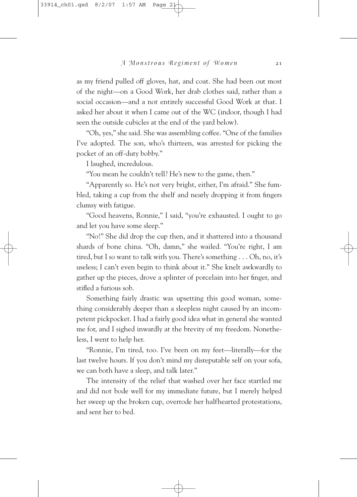as my friend pulled off gloves, hat, and coat. She had been out most of the night—on a Good Work, her drab clothes said, rather than a social occasion—and a not entirely successful Good Work at that. I asked her about it when I came out of the WC (indoor, though I had seen the outside cubicles at the end of the yard below).

"Oh, yes," she said. She was assembling coffee. "One of the families I've adopted. The son, who's thirteen, was arrested for picking the pocket of an off-duty bobby."

I laughed, incredulous.

"You mean he couldn't tell? He's new to the game, then."

"Apparently so. He's not very bright, either, I'm afraid." She fumbled, taking a cup from the shelf and nearly dropping it from fingers clumsy with fatigue.

"Good heavens, Ronnie," I said, "you're exhausted. I ought to go and let you have some sleep."

"No!" She did drop the cup then, and it shattered into a thousand shards of bone china. "Oh, damn," she wailed. "You're right, I am tired, but I so want to talk with you. There's something... Oh, no, it's useless; I can't even begin to think about it." She knelt awkwardly to gather up the pieces, drove a splinter of porcelain into her finger, and stifled a furious sob.

Something fairly drastic was upsetting this good woman, something considerably deeper than a sleepless night caused by an incompetent pickpocket. I had a fairly good idea what in general she wanted me for, and I sighed inwardly at the brevity of my freedom. Nonetheless, I went to help her.

"Ronnie, I'm tired, too. I've been on my feet—literally—for the last twelve hours. If you don't mind my disreputable self on your sofa, we can both have a sleep, and talk later."

The intensity of the relief that washed over her face startled me and did not bode well for my immediate future, but I merely helped her sweep up the broken cup, overrode her halfhearted protestations, and sent her to bed.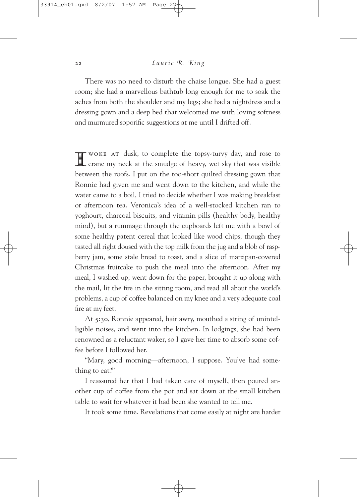There was no need to disturb the chaise longue. She had a guest room; she had a marvellous bathtub long enough for me to soak the aches from both the shoulder and my legs; she had a nightdress and a dressing gown and a deep bed that welcomed me with loving softness and murmured soporific suggestions at me until I drifted off.

Iwoke at dusk, to complete the topsy-turvy day, and rose to crane my neck at the smudge of heavy, wet sky that was visible between the roofs. I put on the too-short quilted dressing gown that Ronnie had given me and went down to the kitchen, and while the water came to a boil, I tried to decide whether I was making breakfast or afternoon tea. Veronica's idea of a well-stocked kitchen ran to yoghourt, charcoal biscuits, and vitamin pills (healthy body, healthy mind), but a rummage through the cupboards left me with a bowl of some healthy patent cereal that looked like wood chips, though they tasted all right doused with the top milk from the jug and a blob of raspberry jam, some stale bread to toast, and a slice of marzipan-covered Christmas fruitcake to push the meal into the afternoon. After my meal, I washed up, went down for the paper, brought it up along with the mail, lit the fire in the sitting room, and read all about the world's problems, a cup of coffee balanced on my knee and a very adequate coal fire at my feet.

At 5:30, Ronnie appeared, hair awry, mouthed a string of unintelligible noises, and went into the kitchen. In lodgings, she had been renowned as a reluctant waker, so I gave her time to absorb some coffee before I followed her.

"Mary, good morning—afternoon, I suppose. You've had something to eat?"

I reassured her that I had taken care of myself, then poured another cup of coffee from the pot and sat down at the small kitchen table to wait for whatever it had been she wanted to tell me.

It took some time. Revelations that come easily at night are harder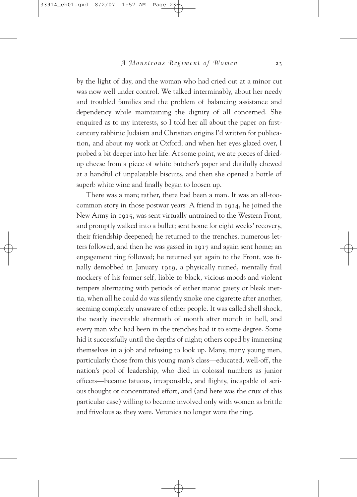by the light of day, and the woman who had cried out at a minor cut was now well under control. We talked interminably, about her needy and troubled families and the problem of balancing assistance and dependency while maintaining the dignity of all concerned. She enquired as to my interests, so I told her all about the paper on firstcentury rabbinic Judaism and Christian origins I'd written for publication, and about my work at Oxford, and when her eyes glazed over, I probed a bit deeper into her life. At some point, we ate pieces of driedup cheese from a piece of white butcher's paper and dutifully chewed at a handful of unpalatable biscuits, and then she opened a bottle of superb white wine and finally began to loosen up.

There was a man; rather, there had been a man. It was an all-toocommon story in those postwar years: A friend in 1914, he joined the New Army in 1915, was sent virtually untrained to the Western Front, and promptly walked into a bullet; sent home for eight weeks' recovery, their friendship deepened; he returned to the trenches, numerous letters followed, and then he was gassed in 1917 and again sent home; an engagement ring followed; he returned yet again to the Front, was finally demobbed in January 1919, a physically ruined, mentally frail mockery of his former self, liable to black, vicious moods and violent tempers alternating with periods of either manic gaiety or bleak inertia, when all he could do was silently smoke one cigarette after another, seeming completely unaware of other people. It was called shell shock, the nearly inevitable aftermath of month after month in hell, and every man who had been in the trenches had it to some degree. Some hid it successfully until the depths of night; others coped by immersing themselves in a job and refusing to look up. Many, many young men, particularly those from this young man's class—educated, well-off, the nation's pool of leadership, who died in colossal numbers as junior officers—became fatuous, irresponsible, and flighty, incapable of serious thought or concentrated effort, and (and here was the crux of this particular case) willing to become involved only with women as brittle and frivolous as they were. Veronica no longer wore the ring.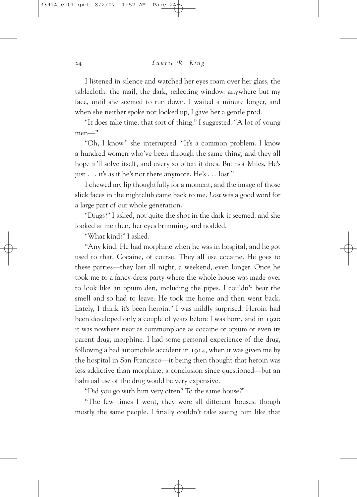I listened in silence and watched her eyes roam over her glass, the tablecloth, the mail, the dark, reflecting window, anywhere but my face, until she seemed to run down. I waited a minute longer, and when she neither spoke nor looked up, I gave her a gentle prod.

"It does take time, that sort of thing," I suggested. "A lot of young men—"

"Oh, I know," she interrupted. "It's a common problem. I know a hundred women who've been through the same thing, and they all hope it'll solve itself, and every so often it does. But not Miles. He's just . . . it's as if he's not there anymore. He's . . . lost."

I chewed my lip thoughtfully for a moment, and the image of those slick faces in the nightclub came back to me. *Lost* was a good word for a large part of our whole generation.

"Drugs?" I asked, not quite the shot in the dark it seemed, and she looked at me then, her eyes brimming, and nodded.

"What kind?" I asked.

"Any kind. He had morphine when he was in hospital, and he got used to that. Cocaine, of course. They all use cocaine. He goes to these parties—they last all night, a weekend, even longer. Once he took me to a fancy-dress party where the whole house was made over to look like an opium den, including the pipes. I couldn't bear the smell and so had to leave. He took me home and then went back. Lately, I think it's been heroin." I was mildly surprised. Heroin had been developed only a couple of years before I was born, and in 1920 it was nowhere near as commonplace as cocaine or opium or even its parent drug, morphine. I had some personal experience of the drug, following a bad automobile accident in 1914, when it was given me by the hospital in San Francisco—it being then thought that heroin was less addictive than morphine, a conclusion since questioned—but an habitual use of the drug would be very expensive.

"Did you go with him very often? To the same house?"

"The few times I went, they were all different houses, though mostly the same people. I finally couldn't take seeing him like that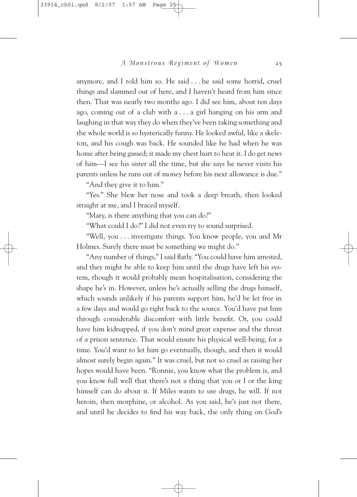anymore, and I told him so. He said . . . he said some horrid, cruel things and slammed out of here, and I haven't heard from him since then. That was nearly two months ago. I did see him, about ten days ago, coming out of a club with a . . . a girl hanging on his arm and laughing in that way they do when they've been taking something and the whole world is so hysterically funny. He looked awful, like a skeleton, and his cough was back. He sounded like he had when he was home after being gassed; it made my chest hurt to hear it. I do get news of him—I see his sister all the time, but she says he never visits his parents unless he runs out of money before his next allowance is due."

"And they give it to him."

"Yes." She blew her nose and took a deep breath, then looked straight at me, and I braced myself.

"Mary, is there anything that you can do?"

"What could I do?" I did not even try to sound surprised.

"Well, you . . . investigate things. You know people, you and Mr Holmes. Surely there must be something we might do."

"Any number of things," I said flatly. "You could have him arrested, and they might be able to keep him until the drugs have left his system, though it would probably mean hospitalisation, considering the shape he's in. However, unless he's actually selling the drugs himself, which sounds unlikely if his parents support him, he'd be let free in a few days and would go right back to the source. You'd have put him through considerable discomfort with little benefit. Or, you could have him kidnapped, if you don't mind great expense and the threat of a prison sentence. That would ensure his physical well-being, for a time. You'd want to let him go eventually, though, and then it would almost surely begin again." It was cruel, but not so cruel as raising her hopes would have been. "Ronnie, you know what the problem is, and you know full well that there's not a thing that you or I or the king himself can do about it. If Miles wants to use drugs, he will. If not heroin, then morphine, or alcohol. As you said, he's just not there, and until he decides to find his way back, the only thing on God's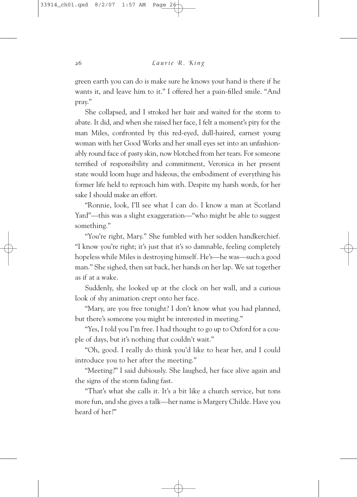green earth you can do is make sure he knows your hand is there if he wants it, and leave him to it." I offered her a pain-filled smile. "And pray."

She collapsed, and I stroked her hair and waited for the storm to abate. It did, and when she raised her face, I felt a moment's pity for the man Miles, confronted by this red-eyed, dull-haired, earnest young woman with her Good Works and her small eyes set into an unfashionably round face of pasty skin, now blotched from her tears. For someone terrified of responsibility and commitment, Veronica in her present state would loom huge and hideous, the embodiment of everything his former life held to reproach him with. Despite my harsh words, for her sake I should make an effort.

"Ronnie, look, I'll see what I can do. I know a man at Scotland Yard"—this was a slight exaggeration—"who might be able to suggest something."

"You're right, Mary." She fumbled with her sodden handkerchief. "I know you're right; it's just that it's so damnable, feeling completely hopeless while Miles is destroying himself. He's—he was—such a good man." She sighed, then sat back, her hands on her lap. We sat together as if at a wake.

Suddenly, she looked up at the clock on her wall, and a curious look of shy animation crept onto her face.

"Mary, are you free tonight? I don't know what you had planned, but there's someone you might be interested in meeting."

"Yes, I told you I'm free. I had thought to go up to Oxford for a couple of days, but it's nothing that couldn't wait."

"Oh, good. I really do think you'd like to hear her, and I could introduce you to her after the meeting."

"Meeting?" I said dubiously. She laughed, her face alive again and the signs of the storm fading fast.

"That's what she calls it. It's a bit like a church service, but tons more fun, and she gives a talk—her name is Margery Childe. Have you heard of her?"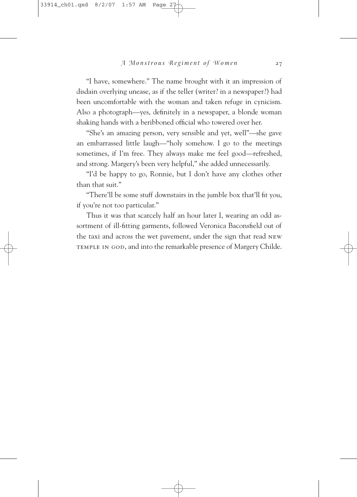"I have, somewhere." The name brought with it an impression of disdain overlying unease, as if the teller (writer? in a newspaper?) had been uncomfortable with the woman and taken refuge in cynicism. Also a photograph—yes, definitely in a newspaper, a blonde woman shaking hands with a beribboned official who towered over her.

"She's an amazing person, very sensible and yet, well"—she gave an embarrassed little laugh—"holy somehow. I go to the meetings sometimes, if I'm free. They always make me feel good—refreshed, and strong. Margery's been very helpful," she added unnecessarily.

"I'd be happy to go, Ronnie, but I don't have any clothes other than that suit."

"There'll be some stuff downstairs in the jumble box that'll fit you, if you're not too particular."

Thus it was that scarcely half an hour later I, wearing an odd assortment of ill-fitting garments, followed Veronica Baconsfield out of the taxi and across the wet pavement, under the sign that read new temple in god, and into the remarkable presence of Margery Childe.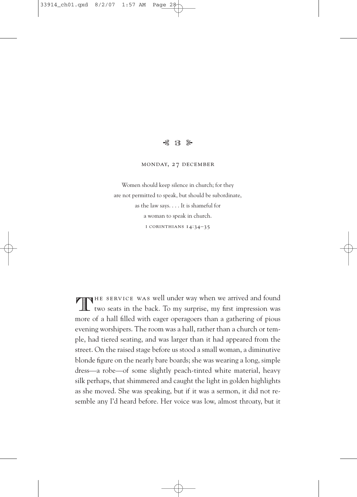

#### monday, 27 december

Women should keep silence in church; for they are not permitted to speak, but should be subordinate, as the law says.... It is shameful for a woman to speak in church. i corinthians 14:34–35

THE SERVICE WAS well under way when we arrived and found two seats in the back. To my surprise, my first impression was more of a hall filled with eager operagoers than a gathering of pious evening worshipers. The room was a hall, rather than a church or temple, had tiered seating, and was larger than it had appeared from the street. On the raised stage before us stood a small woman, a diminutive blonde figure on the nearly bare boards; she was wearing a long, simple dress—a robe—of some slightly peach-tinted white material, heavy silk perhaps, that shimmered and caught the light in golden highlights as she moved. She was speaking, but if it was a sermon, it did not resemble any I'd heard before. Her voice was low, almost throaty, but it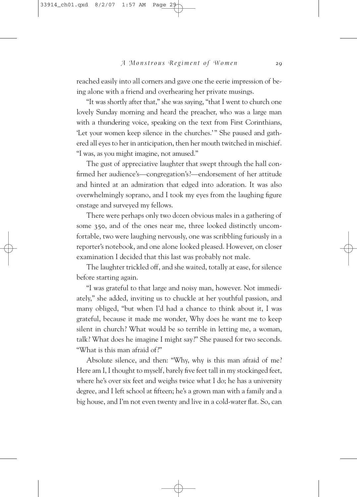reached easily into all corners and gave one the eerie impression of being alone with a friend and overhearing her private musings.

"It was shortly after that," she was saying, "that I went to church one lovely Sunday morning and heard the preacher, who was a large man with a thundering voice, speaking on the text from First Corinthians, 'Let your women keep silence in the churches.'" She paused and gathered all eyes to her in anticipation, then her mouth twitched in mischief. "I was, as you might imagine, not amused."

The gust of appreciative laughter that swept through the hall confirmed her audience's—congregation's?—endorsement of her attitude and hinted at an admiration that edged into adoration. It was also overwhelmingly soprano, and I took my eyes from the laughing figure onstage and surveyed my fellows.

There were perhaps only two dozen obvious males in a gathering of some 350, and of the ones near me, three looked distinctly uncomfortable, two were laughing nervously, one was scribbling furiously in a reporter's notebook, and one alone looked pleased. However, on closer examination I decided that this last was probably not male.

The laughter trickled off, and she waited, totally at ease, for silence before starting again.

"I was grateful to that large and noisy man, however. Not immediately," she added, inviting us to chuckle at her youthful passion, and many obliged, "but when I'd had a chance to think about it, I was grateful, because it made me wonder, Why does he want me to keep silent in church? What would be so terrible in letting me, a woman, talk? What does he imagine I might say?" She paused for two seconds. "What is this man afraid of?"

Absolute silence, and then: "Why, why is this man afraid of me? Here am I, I thought to myself, barely five feet tall in my stockinged feet, where he's over six feet and weighs twice what I do; he has a university degree, and I left school at fifteen; he's a grown man with a family and a big house, and I'm not even twenty and live in a cold-water flat. So, can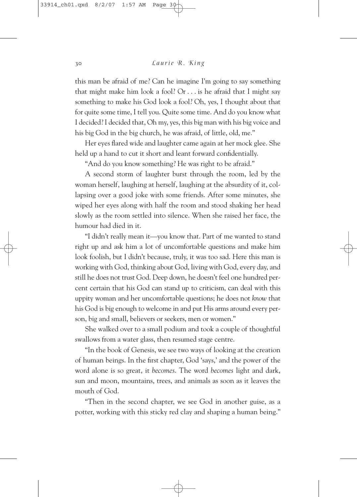this man be afraid of me? Can he imagine I'm going to say something that might make him look a fool? Or  $\dots$  is he afraid that I might say something to make his God look a fool? Oh, yes, I thought about that for quite some time, I tell you. Quite some time. And do you know what I decided? I decided that, Oh my, yes, this big man with his big voice and his big God in the big church, he was afraid, of little, old, me."

Her eyes flared wide and laughter came again at her mock glee. She held up a hand to cut it short and leant forward confidentially.

"And do you know something? He was right to be afraid."

A second storm of laughter burst through the room, led by the woman herself, laughing at herself, laughing at the absurdity of it, collapsing over a good joke with some friends. After some minutes, she wiped her eyes along with half the room and stood shaking her head slowly as the room settled into silence. When she raised her face, the humour had died in it.

"I didn't really mean it—you know that. Part of me wanted to stand right up and ask him a lot of uncomfortable questions and make him look foolish, but I didn't because, truly, it was too sad. Here this man is working with God, thinking about God, living with God, every day, and still he does not trust God. Deep down, he doesn't feel one hundred percent certain that his God can stand up to criticism, can deal with this uppity woman and her uncomfortable questions; he does not *know* that his God is big enough to welcome in and put His arms around every person, big and small, believers or seekers, men or women."

She walked over to a small podium and took a couple of thoughtful swallows from a water glass, then resumed stage centre.

"In the book of Genesis, we see two ways of looking at the creation of human beings. In the first chapter, God 'says,' and the power of the word alone is so great, it *becomes*. The word *becomes* light and dark, sun and moon, mountains, trees, and animals as soon as it leaves the mouth of God.

"Then in the second chapter, we see God in another guise, as a potter, working with this sticky red clay and shaping a human being."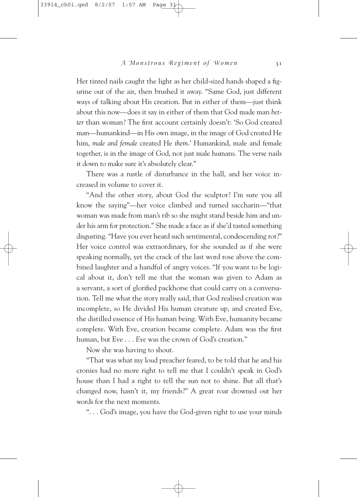Her tinted nails caught the light as her child-sized hands shaped a figurine out of the air, then brushed it away. "Same God, just different ways of talking about His creation. But in either of them—just think about this now—does it say in either of them that God made man *better* than woman? The first account certainly doesn't: 'So God created man—humankind—in His own image, in the image of God created He him, *male and female* created He *them*.' Humankind, male and female together, is in the image of God, not just male humans. The verse nails it down to make sure it's absolutely clear."

There was a rustle of disturbance in the hall, and her voice increased in volume to cover it.

"And the other story, about God the sculptor? I'm sure you all know the saying"—her voice climbed and turned saccharin—"that woman was made from man's rib so she might stand beside him and under his arm for protection." She made a face as if she'd tasted something disgusting. "Have you ever heard such sentimental, condescending rot?" Her voice control was extraordinary, for she sounded as if she were speaking normally, yet the crack of the last word rose above the combined laughter and a handful of angry voices. "If you want to be logical about it, don't tell me that the woman was given to Adam as a servant, a sort of glorified packhorse that could carry on a conversation. Tell me what the story really said, that God realised creation was incomplete, so He divided His human creature up, and created Eve, the distilled essence of His human being. With Eve, humanity became complete. With Eve, creation became complete. Adam was the first human, but Eve . . . *Eve* was the crown of God's creation."

Now she was having to shout.

"That was what my loud preacher feared, to be told that he and his cronies had no more right to tell me that I couldn't speak in God's house than I had a right to tell the sun not to shine. But all that's changed now, hasn't it, my friends?" A great roar drowned out her words for the next moments.

". . . God's image, you have the God-given right to use your minds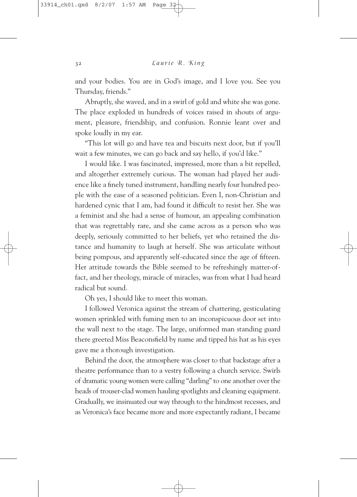and your bodies. You are in God's image, and I love you. See you Thursday, friends."

Abruptly, she waved, and in a swirl of gold and white she was gone. The place exploded in hundreds of voices raised in shouts of argument, pleasure, friendship, and confusion. Ronnie leant over and spoke loudly in my ear.

"This lot will go and have tea and biscuits next door, but if you'll wait a few minutes, we can go back and say hello, if you'd like."

I would like. I was fascinated, impressed, more than a bit repelled, and altogether extremely curious. The woman had played her audience like a finely tuned instrument, handling nearly four hundred people with the ease of a seasoned politician. Even I, non-Christian and hardened cynic that I am, had found it difficult to resist her. She was a feminist and she had a sense of humour, an appealing combination that was regrettably rare, and she came across as a person who was deeply, seriously committed to her beliefs, yet who retained the distance and humanity to laugh at herself. She was articulate without being pompous, and apparently self-educated since the age of fifteen. Her attitude towards the Bible seemed to be refreshingly matter-offact, and her theology, miracle of miracles, was from what I had heard radical but sound.

Oh yes, I should like to meet this woman.

I followed Veronica against the stream of chattering, gesticulating women sprinkled with fuming men to an inconspicuous door set into the wall next to the stage. The large, uniformed man standing guard there greeted Miss Beaconsfield by name and tipped his hat as his eyes gave me a thorough investigation.

Behind the door, the atmosphere was closer to that backstage after a theatre performance than to a vestry following a church service. Swirls of dramatic young women were calling "darling" to one another over the heads of trouser-clad women hauling spotlights and cleaning equipment. Gradually, we insinuated our way through to the hindmost recesses, and as Veronica's face became more and more expectantly radiant, I became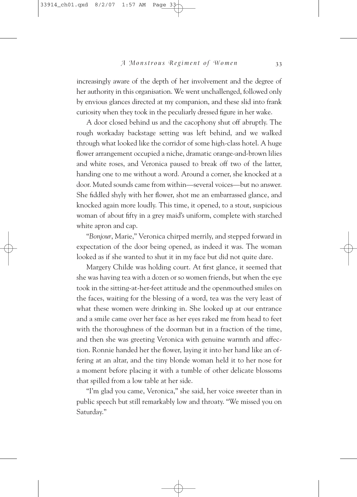increasingly aware of the depth of her involvement and the degree of her authority in this organisation. We went unchallenged, followed only by envious glances directed at my companion, and these slid into frank curiosity when they took in the peculiarly dressed figure in her wake.

A door closed behind us and the cacophony shut off abruptly. The rough workaday backstage setting was left behind, and we walked through what looked like the corridor of some high-class hotel. A huge flower arrangement occupied a niche, dramatic orange-and-brown lilies and white roses, and Veronica paused to break off two of the latter, handing one to me without a word. Around a corner, she knocked at a door. Muted sounds came from within—several voices—but no answer. She fiddled shyly with her flower, shot me an embarrassed glance, and knocked again more loudly. This time, it opened, to a stout, suspicious woman of about fifty in a grey maid's uniform, complete with starched white apron and cap.

"*Bonjour*, Marie," Veronica chirped merrily, and stepped forward in expectation of the door being opened, as indeed it was. The woman looked as if she wanted to shut it in my face but did not quite dare.

Margery Childe was holding court. At first glance, it seemed that she was having tea with a dozen or so women friends, but when the eye took in the sitting-at-her-feet attitude and the openmouthed smiles on the faces, waiting for the blessing of a word, tea was the very least of what these women were drinking in. She looked up at our entrance and a smile came over her face as her eyes raked me from head to feet with the thoroughness of the doorman but in a fraction of the time, and then she was greeting Veronica with genuine warmth and affection. Ronnie handed her the flower, laying it into her hand like an offering at an altar, and the tiny blonde woman held it to her nose for a moment before placing it with a tumble of other delicate blossoms that spilled from a low table at her side.

"I'm glad you came, Veronica," she said, her voice sweeter than in public speech but still remarkably low and throaty. "We missed you on Saturday."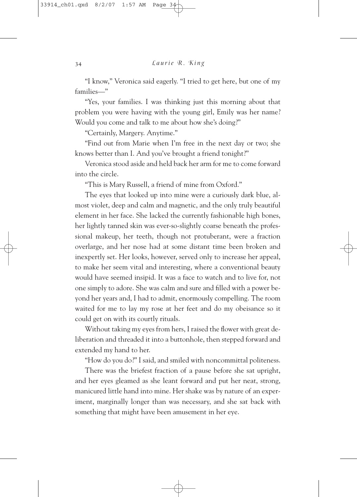"I know," Veronica said eagerly. "I tried to get here, but one of my families—"

"Yes, your families. I was thinking just this morning about that problem you were having with the young girl, Emily was her name? Would you come and talk to me about how she's doing?"

"Certainly, Margery. Anytime."

"Find out from Marie when I'm free in the next day or two; she knows better than I. And you've brought a friend tonight?"

Veronica stood aside and held back her arm for me to come forward into the circle.

"This is Mary Russell, a friend of mine from Oxford."

The eyes that looked up into mine were a curiously dark blue, almost violet, deep and calm and magnetic, and the only truly beautiful element in her face. She lacked the currently fashionable high bones, her lightly tanned skin was ever-so-slightly coarse beneath the professional makeup, her teeth, though not protuberant, were a fraction overlarge, and her nose had at some distant time been broken and inexpertly set. Her looks, however, served only to increase her appeal, to make her seem vital and interesting, where a conventional beauty would have seemed insipid. It was a face to watch and to live for, not one simply to adore. She was calm and sure and filled with a power beyond her years and, I had to admit, enormously compelling. The room waited for me to lay my rose at her feet and do my obeisance so it could get on with its courtly rituals.

Without taking my eyes from hers, I raised the flower with great deliberation and threaded it into a buttonhole, then stepped forward and extended my hand to her.

"How do you do?" I said, and smiled with noncommittal politeness.

There was the briefest fraction of a pause before she sat upright, and her eyes gleamed as she leant forward and put her neat, strong, manicured little hand into mine. Her shake was by nature of an experiment, marginally longer than was necessary, and she sat back with something that might have been amusement in her eye.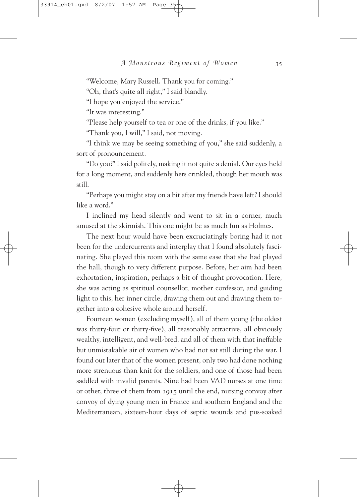"Welcome, Mary Russell. Thank you for coming."

"Oh, that's quite all right," I said blandly.

"I hope you enjoyed the service."

"It was interesting."

"Please help yourself to tea or one of the drinks, if you like."

"Thank you, I will," I said, not moving.

"I think we may be seeing something of you," she said suddenly, a sort of pronouncement.

"Do you?" I said politely, making it not quite a denial. Our eyes held for a long moment, and suddenly hers crinkled, though her mouth was still.

"Perhaps you might stay on a bit after my friends have left? I should like a word."

I inclined my head silently and went to sit in a corner, much amused at the skirmish. This one might be as much fun as Holmes.

The next hour would have been excruciatingly boring had it not been for the undercurrents and interplay that I found absolutely fascinating. She played this room with the same ease that she had played the hall, though to very different purpose. Before, her aim had been exhortation, inspiration, perhaps a bit of thought provocation. Here, she was acting as spiritual counsellor, mother confessor, and guiding light to this, her inner circle, drawing them out and drawing them together into a cohesive whole around herself.

Fourteen women (excluding myself), all of them young (the oldest was thirty-four or thirty-five), all reasonably attractive, all obviously wealthy, intelligent, and well-bred, and all of them with that ineffable but unmistakable air of women who had not sat still during the war. I found out later that of the women present, only two had done nothing more strenuous than knit for the soldiers, and one of those had been saddled with invalid parents. Nine had been VAD nurses at one time or other, three of them from 1915 until the end, nursing convoy after convoy of dying young men in France and southern England and the Mediterranean, sixteen-hour days of septic wounds and pus-soaked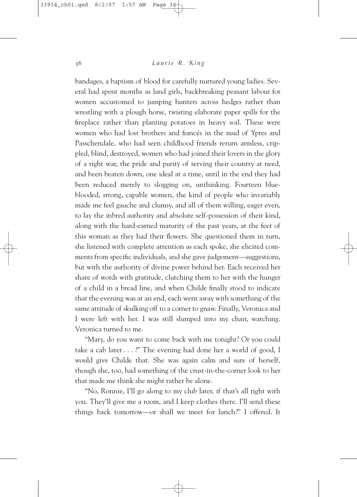bandages, a baptism of blood for carefully nurtured young ladies. Several had spent months as land girls, backbreaking peasant labour for women accustomed to jumping hunters across hedges rather than wrestling with a plough horse, twisting elaborate paper spills for the fireplace rather than planting potatoes in heavy soil. These were women who had lost brothers and fiancés in the mud of Ypres and Passchendale, who had seen childhood friends return armless, crippled, blind, destroyed, women who had joined their lovers in the glory of a right war, the pride and purity of serving their country at need, and been beaten down, one ideal at a time, until in the end they had been reduced merely to slogging on, unthinking. Fourteen blueblooded, strong, capable women, the kind of people who invariably made me feel gauche and clumsy, and all of them willing, eager even, to lay the inbred authority and absolute self-possession of their kind, along with the hard-earned maturity of the past years, at the feet of this woman as they had their flowers. She questioned them in turn, she listened with complete attention as each spoke, she elicited comments from specific individuals, and she gave judgement—suggestions, but with the authority of divine power behind her. Each received her share of words with gratitude, clutching them to her with the hunger of a child in a bread line, and when Childe finally stood to indicate that the evening was at an end, each went away with something of the same attitude of skulking off to a corner to gnaw. Finally, Veronica and I were left with her. I was still slumped into my chair, watching. Veronica turned to me.

"Mary, do you want to come back with me tonight? Or you could take a cab later  $\dots$ ?" The evening had done her a world of good, I would give Childe that. She was again calm and sure of herself, though she, too, had something of the crust-in-the-corner look to her that made me think she might rather be alone.

"No, Ronnie, I'll go along to my club later, if that's all right with you. They'll give me a room, and I keep clothes there. I'll send these things back tomorrow—or shall we meet for lunch?" I offered. It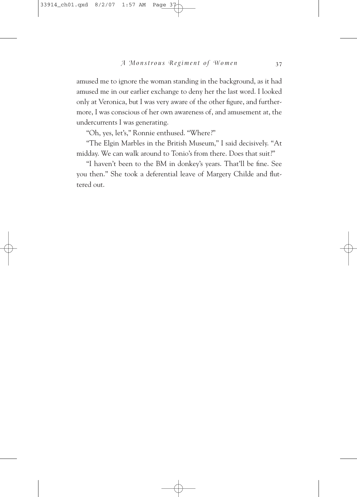amused me to ignore the woman standing in the background, as it had amused me in our earlier exchange to deny her the last word. I looked only at Veronica, but I was very aware of the other figure, and furthermore, I was conscious of her own awareness of, and amusement at, the undercurrents I was generating.

"Oh, yes, let's," Ronnie enthused. "Where?"

"The Elgin Marbles in the British Museum," I said decisively. "At midday. We can walk around to Tonio's from there. Does that suit?"

"I haven't been to the BM in donkey's years. That'll be fine. See you then." She took a deferential leave of Margery Childe and fluttered out.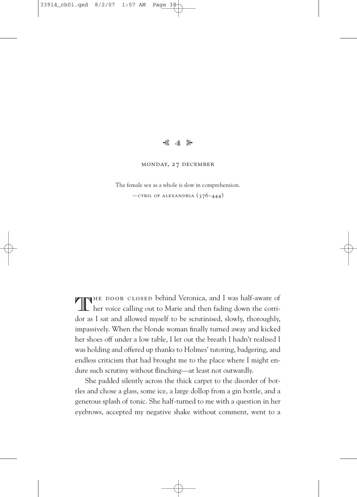

monday, 27 december

The female sex as a whole is slow in comprehension.  $-$ CYRIL OF ALEXANDRIA  $(376-444)$ 

THE DOOR CLOSED behind Veronica, and I was half-aware of her voice calling out to Marie and then fading down the corridor as I sat and allowed myself to be scrutinised, slowly, thoroughly, impassively. When the blonde woman finally turned away and kicked her shoes off under a low table, I let out the breath I hadn't realised I was holding and offered up thanks to Holmes' tutoring, badgering, and endless criticism that had brought me to the place where I might endure such scrutiny without flinching—at least not outwardly.

She padded silently across the thick carpet to the disorder of bottles and chose a glass, some ice, a large dollop from a gin bottle, and a generous splash of tonic. She half-turned to me with a question in her eyebrows, accepted my negative shake without comment, went to a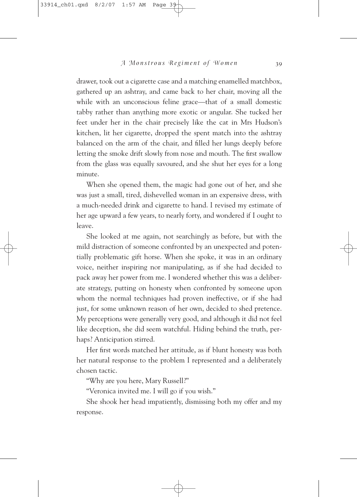drawer, took out a cigarette case and a matching enamelled matchbox, gathered up an ashtray, and came back to her chair, moving all the while with an unconscious feline grace—that of a small domestic tabby rather than anything more exotic or angular. She tucked her feet under her in the chair precisely like the cat in Mrs Hudson's kitchen, lit her cigarette, dropped the spent match into the ashtray balanced on the arm of the chair, and filled her lungs deeply before letting the smoke drift slowly from nose and mouth. The first swallow from the glass was equally savoured, and she shut her eyes for a long minute.

When she opened them, the magic had gone out of her, and she was just a small, tired, dishevelled woman in an expensive dress, with a much-needed drink and cigarette to hand. I revised my estimate of her age upward a few years, to nearly forty, and wondered if I ought to leave.

She looked at me again, not searchingly as before, but with the mild distraction of someone confronted by an unexpected and potentially problematic gift horse. When she spoke, it was in an ordinary voice, neither inspiring nor manipulating, as if she had decided to pack away her power from me. I wondered whether this was a deliberate strategy, putting on honesty when confronted by someone upon whom the normal techniques had proven ineffective, or if she had just, for some unknown reason of her own, decided to shed pretence. My perceptions were generally very good, and although it did not feel like deception, she did seem watchful. Hiding behind the truth, perhaps? Anticipation stirred.

Her first words matched her attitude, as if blunt honesty was both her natural response to the problem I represented and a deliberately chosen tactic.

"Why are you here, Mary Russell?"

"Veronica invited me. I will go if you wish."

She shook her head impatiently, dismissing both my offer and my response.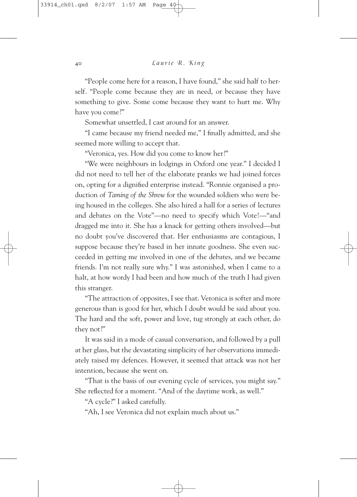"People come here for a reason, I have found," she said half to herself. "People come because they are in need, or because they have something to give. Some come because they want to hurt me. Why have you come?"

Somewhat unsettled, I cast around for an answer.

"I came because my friend needed me," I finally admitted, and she seemed more willing to accept that.

"Veronica, yes. How did you come to know her?"

"We were neighbours in lodgings in Oxford one year." I decided I did not need to tell her of the elaborate pranks we had joined forces on, opting for a dignified enterprise instead. "Ronnie organised a production of *Taming of the Shrew* for the wounded soldiers who were being housed in the colleges. She also hired a hall for a series of lectures and debates on the Vote"—no need to specify which Vote!—"and dragged me into it. She has a knack for getting others involved—but no doubt you've discovered that. Her enthusiasms are contagious, I suppose because they're based in her innate goodness. She even succeeded in getting me involved in one of the debates, and we became friends. I'm not really sure why." I was astonished, when I came to a halt, at how wordy I had been and how much of the truth I had given this stranger.

"The attraction of opposites, I see that. Veronica is softer and more generous than is good for her, which I doubt would be said about you. The hard and the soft, power and love, tug strongly at each other, do they not?"

It was said in a mode of casual conversation, and followed by a pull at her glass, but the devastating simplicity of her observations immediately raised my defences. However, it seemed that attack was not her intention, because she went on.

"That is the basis of our evening cycle of services, you might say." She reflected for a moment. "And of the daytime work, as well."

"A cycle?" I asked carefully.

"Ah, I see Veronica did not explain much about us."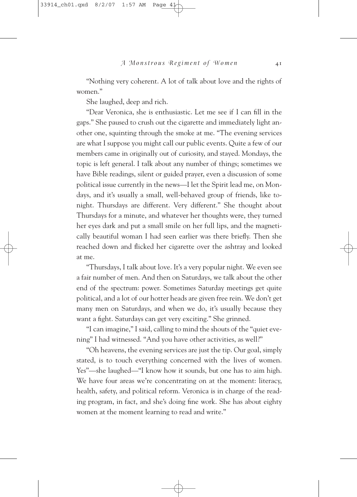"Nothing very coherent. A lot of talk about love and the rights of women."

She laughed, deep and rich.

"Dear Veronica, she is enthusiastic. Let me see if I can fill in the gaps." She paused to crush out the cigarette and immediately light another one, squinting through the smoke at me. "The evening services are what I suppose you might call our public events. Quite a few of our members came in originally out of curiosity, and stayed. Mondays, the topic is left general. I talk about any number of things; sometimes we have Bible readings, silent or guided prayer, even a discussion of some political issue currently in the news—I let the Spirit lead me, on Mondays, and it's usually a small, well-behaved group of friends, like tonight. Thursdays are different. Very different." She thought about Thursdays for a minute, and whatever her thoughts were, they turned her eyes dark and put a small smile on her full lips, and the magnetically beautiful woman I had seen earlier was there briefly. Then she reached down and flicked her cigarette over the ashtray and looked at me.

"Thursdays, I talk about love. It's a very popular night. We even see a fair number of men. And then on Saturdays, we talk about the other end of the spectrum: power. Sometimes Saturday meetings get quite political, and a lot of our hotter heads are given free rein. We don't get many men on Saturdays, and when we do, it's usually because they want a fight. Saturdays can get very exciting." She grinned.

"I can imagine," I said, calling to mind the shouts of the "quiet evening" I had witnessed. "And you have other activities, as well?"

"Oh heavens, the evening services are just the tip. Our goal, simply stated, is to touch everything concerned with the lives of women. Yes"—she laughed—"I know how it sounds, but one has to aim high. We have four areas we're concentrating on at the moment: literacy, health, safety, and political reform. Veronica is in charge of the reading program, in fact, and she's doing fine work. She has about eighty women at the moment learning to read and write."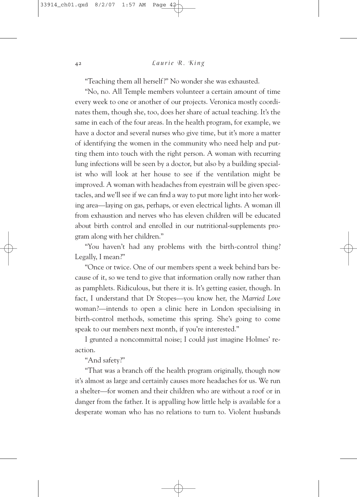"Teaching them all herself?" No wonder she was exhausted.

"No, no. All Temple members volunteer a certain amount of time every week to one or another of our projects. Veronica mostly coordinates them, though she, too, does her share of actual teaching. It's the same in each of the four areas. In the health program, for example, we have a doctor and several nurses who give time, but it's more a matter of identifying the women in the community who need help and putting them into touch with the right person. A woman with recurring lung infections will be seen by a doctor, but also by a building specialist who will look at her house to see if the ventilation might be improved. A woman with headaches from eyestrain will be given spectacles, and we'll see if we can find a way to put more light into her working area—laying on gas, perhaps, or even electrical lights. A woman ill from exhaustion and nerves who has eleven children will be educated about birth control and enrolled in our nutritional-supplements program along with her children."

"You haven't had any problems with the birth-control thing? Legally, I mean?"

"Once or twice. One of our members spent a week behind bars because of it, so we tend to give that information orally now rather than as pamphlets. Ridiculous, but there it is. It's getting easier, though. In fact, I understand that Dr Stopes—you know her, the *Married Love* woman?—intends to open a clinic here in London specialising in birth-control methods, sometime this spring. She's going to come speak to our members next month, if you're interested."

I grunted a noncommittal noise; I could just imagine Holmes' reaction.

"And safety?"

"That was a branch off the health program originally, though now it's almost as large and certainly causes more headaches for us. We run a shelter—for women and their children who are without a roof or in danger from the father. It is appalling how little help is available for a desperate woman who has no relations to turn to. Violent husbands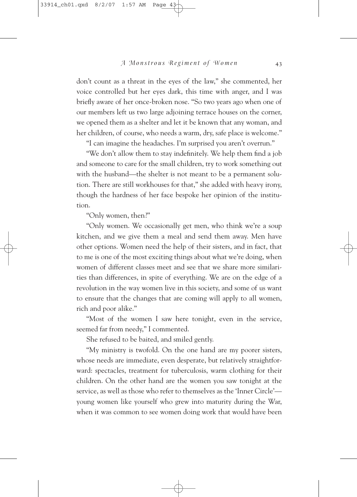don't count as a threat in the eyes of the law," she commented, her voice controlled but her eyes dark, this time with anger, and I was briefly aware of her once-broken nose. "So two years ago when one of our members left us two large adjoining terrace houses on the corner, we opened them as a shelter and let it be known that any woman, and her children, of course, who needs a warm, dry, safe place is welcome."

"I can imagine the headaches. I'm surprised you aren't overrun."

"We don't allow them to stay indefinitely. We help them find a job and someone to care for the small children, try to work something out with the husband—the shelter is not meant to be a permanent solution. There are still workhouses for that," she added with heavy irony, though the hardness of her face bespoke her opinion of the institution.

"Only women, then?"

"Only women. We occasionally get men, who think we're a soup kitchen, and we give them a meal and send them away. Men have other options. Women need the help of their sisters, and in fact, that to me is one of the most exciting things about what we're doing, when women of different classes meet and see that we share more similarities than differences, in spite of everything. We are on the edge of a revolution in the way women live in this society, and some of us want to ensure that the changes that are coming will apply to all women, rich and poor alike."

"Most of the women I saw here tonight, even in the service, seemed far from needy," I commented.

She refused to be baited, and smiled gently.

"My ministry is twofold. On the one hand are my poorer sisters, whose needs are immediate, even desperate, but relatively straightforward: spectacles, treatment for tuberculosis, warm clothing for their children. On the other hand are the women you saw tonight at the service, as well as those who refer to themselves as the 'Inner Circle' young women like yourself who grew into maturity during the War, when it was common to see women doing work that would have been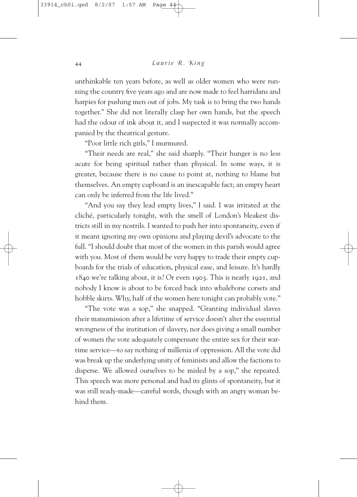unthinkable ten years before, as well as older women who were running the country five years ago and are now made to feel harridans and harpies for pushing men out of jobs. My task is to bring the two hands together." She did not literally clasp her own hands, but the speech had the odour of ink about it, and I suspected it was normally accompanied by the theatrical gesture.

"Poor little rich girls," I murmured.

"Their needs are real," she said sharply. "Their hunger is no less acute for being spiritual rather than physical. In some ways, it is greater, because there is no cause to point at, nothing to blame but themselves. An empty cupboard is an inescapable fact; an empty heart can only be inferred from the life lived."

"And you say they lead empty lives," I said. I was irritated at the cliché, particularly tonight, with the smell of London's bleakest districts still in my nostrils. I wanted to push her into spontaneity, even if it meant ignoring my own opinions and playing devil's advocate to the full. "I should doubt that most of the women in this parish would agree with you. Most of them would be very happy to trade their empty cupboards for the trials of education, physical ease, and leisure. It's hardly 1840 we're talking about, it is? Or even 1903. This is nearly 1921, and nobody I know is about to be forced back into whalebone corsets and hobble skirts. Why, half of the women here tonight can probably vote."

"The vote was a sop," she snapped. "Granting individual slaves their manumission after a lifetime of service doesn't alter the essential wrongness of the institution of slavery, nor does giving a small number of women the vote adequately compensate the entire sex for their wartime service—to say nothing of millenia of oppression. All the vote did was break up the underlying unity of feminists and allow the factions to disperse. We allowed ourselves to be misled by a sop," she repeated. This speech was more personal and had its glints of spontaneity, but it was still ready-made—careful words, though with an angry woman behind them.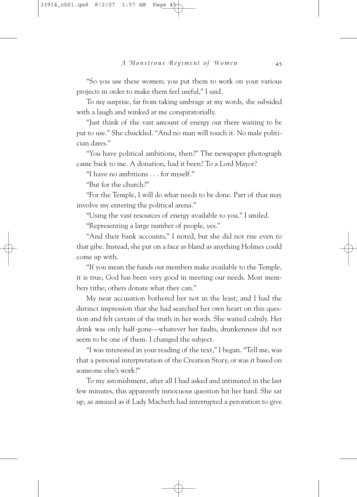"So you use these women; you put them to work on your various projects in order to make them feel useful," I said.

To my surprise, far from taking umbrage at my words, she subsided with a laugh and winked at me conspiratorially.

"Just think of the vast amount of energy out there waiting to be put to use." She chuckled. "And no man will touch it. No male politician dares."

"You have political ambitions, then?" The newspaper photograph came back to me. A donation, had it been? To a Lord Mayor?

"I have no ambitions...for myself."

"But for the church?"

"For the Temple, I will do what needs to be done. Part of that may involve my entering the political arena."

"Using the vast resources of energy available to you." I smiled.

"Representing a large number of people, yes."

"And their bank accounts," I noted, but she did not rise even to that gibe. Instead, she put on a face as bland as anything Holmes could come up with.

"If you mean the funds our members make available to the Temple, it is true, God has been very good in meeting our needs. Most members tithe; others donate what they can."

My near accusation bothered her not in the least, and I had the distinct impression that she had searched her own heart on this question and felt certain of the truth in her words. She waited calmly. Her drink was only half-gone—whatever her faults, drunkenness did not seem to be one of them. I changed the subject.

"I was interested in your reading of the text," I began. "Tell me, was that a personal interpretation of the Creation Story, or was it based on someone else's work?"

To my astonishment, after all I had asked and intimated in the last few minutes, this apparently innocuous question hit her hard. She sat up, as amazed as if Lady Macbeth had interrupted a peroration to give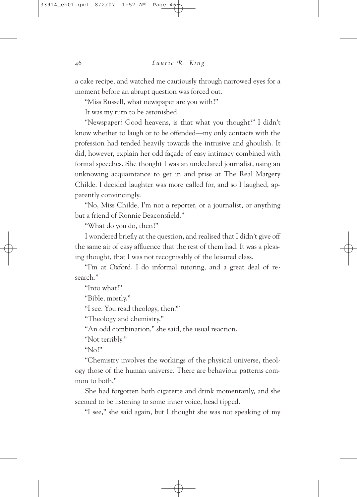a cake recipe, and watched me cautiously through narrowed eyes for a moment before an abrupt question was forced out.

"Miss Russell, what newspaper are you with?"

It was my turn to be astonished.

"Newspaper? Good heavens, is that what you thought?" I didn't know whether to laugh or to be offended—my only contacts with the profession had tended heavily towards the intrusive and ghoulish. It did, however, explain her odd façade of easy intimacy combined with formal speeches. She thought I was an undeclared journalist, using an unknowing acquaintance to get in and prise at The Real Margery Childe. I decided laughter was more called for, and so I laughed, apparently convincingly.

"No, Miss Childe, I'm not a reporter, or a journalist, or anything but a friend of Ronnie Beaconsfield."

"What do you do, then?"

I wondered briefly at the question, and realised that I didn't give off the same air of easy affluence that the rest of them had. It was a pleasing thought, that I was not recognisably of the leisured class.

"I'm at Oxford. I do informal tutoring, and a great deal of research."

"Into what?"

"Bible, mostly."

"I see. You read theology, then?"

"Theology and chemistry."

"An odd combination," she said, the usual reaction.

"Not terribly."

"No?"

"Chemistry involves the workings of the physical universe, theology those of the human universe. There are behaviour patterns common to both."

She had forgotten both cigarette and drink momentarily, and she seemed to be listening to some inner voice, head tipped.

"I see," she said again, but I thought she was not speaking of my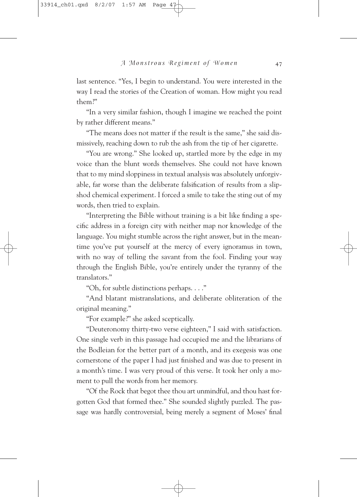last sentence. "Yes, I begin to understand. You were interested in the way I read the stories of the Creation of woman. How might you read them?"

"In a very similar fashion, though I imagine we reached the point by rather different means."

"The means does not matter if the result is the same," she said dismissively, reaching down to rub the ash from the tip of her cigarette.

"You are wrong." She looked up, startled more by the edge in my voice than the blunt words themselves. She could not have known that to my mind sloppiness in textual analysis was absolutely unforgivable, far worse than the deliberate falsification of results from a slipshod chemical experiment. I forced a smile to take the sting out of my words, then tried to explain.

"Interpreting the Bible without training is a bit like finding a specific address in a foreign city with neither map nor knowledge of the language. You might stumble across the right answer, but in the meantime you've put yourself at the mercy of every ignoramus in town, with no way of telling the savant from the fool. Finding your way through the English Bible, you're entirely under the tyranny of the translators."

"Oh, for subtle distinctions perhaps. . . ."

"And blatant mistranslations, and deliberate obliteration of the original meaning."

"For example?" she asked sceptically.

"Deuteronomy thirty-two verse eighteen," I said with satisfaction. One single verb in this passage had occupied me and the librarians of the Bodleian for the better part of a month, and its exegesis was one cornerstone of the paper I had just finished and was due to present in a month's time. I was very proud of this verse. It took her only a moment to pull the words from her memory.

"Of the Rock that begot thee thou art unmindful, and thou hast forgotten God that formed thee." She sounded slightly puzzled. The passage was hardly controversial, being merely a segment of Moses' final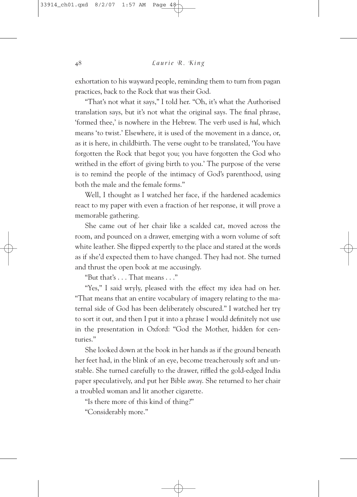exhortation to his wayward people, reminding them to turn from pagan practices, back to the Rock that was their God.

"That's not what it says," I told her. "Oh, it's what the Authorised translation says, but it's not what the original says. The final phrase, 'formed thee,' is nowhere in the Hebrew. The verb used is *hul*, which means 'to twist.' Elsewhere, it is used of the movement in a dance, or, as it is here, in childbirth. The verse ought to be translated, 'You have forgotten the Rock that begot you; you have forgotten the God who writhed in the effort of giving birth to you.' The purpose of the verse is to remind the people of the intimacy of God's parenthood, using both the male and the female forms."

Well, I thought as I watched her face, if the hardened academics react to my paper with even a fraction of her response, it will prove a memorable gathering.

She came out of her chair like a scalded cat, moved across the room, and pounced on a drawer, emerging with a worn volume of soft white leather. She flipped expertly to the place and stared at the words as if she'd expected them to have changed. They had not. She turned and thrust the open book at me accusingly.

"But that's ...That means . . ."

"Yes," I said wryly, pleased with the effect my idea had on her. "That means that an entire vocabulary of imagery relating to the maternal side of God has been deliberately obscured." I watched her try to sort it out, and then I put it into a phrase I would definitely not use in the presentation in Oxford: "God the Mother, hidden for centuries."

She looked down at the book in her hands as if the ground beneath her feet had, in the blink of an eye, become treacherously soft and unstable. She turned carefully to the drawer, riffled the gold-edged India paper speculatively, and put her Bible away. She returned to her chair a troubled woman and lit another cigarette.

"Is there more of this kind of thing?"

"Considerably more."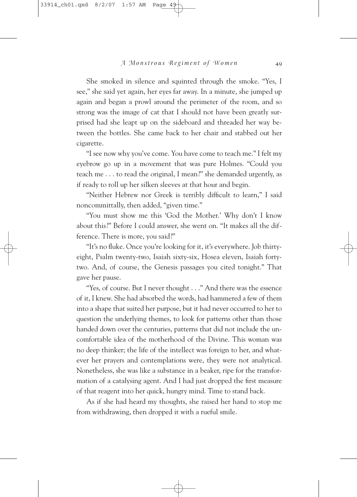She smoked in silence and squinted through the smoke. "Yes, I see," she said yet again, her eyes far away. In a minute, she jumped up again and began a prowl around the perimeter of the room, and so strong was the image of cat that I should not have been greatly surprised had she leapt up on the sideboard and threaded her way between the bottles. She came back to her chair and stabbed out her cigarette.

"I see now why you've come. You have come to teach me." I felt my eyebrow go up in a movement that was pure Holmes. "Could you teach me . . . to read the original, I mean?" she demanded urgently, as if ready to roll up her silken sleeves at that hour and begin.

"Neither Hebrew nor Greek is terribly difficult to learn," I said noncommittally, then added, "given time."

"You must show me this 'God the Mother.' Why don't I know about this?" Before I could answer, she went on. "It makes all the difference. There is more, you said?"

"It's no fluke. Once you're looking for it, it's everywhere. Job thirtyeight, Psalm twenty-two, Isaiah sixty-six, Hosea eleven, Isaiah fortytwo. And, of course, the Genesis passages you cited tonight." That gave her pause.

"Yes, of course. But I never thought . . ." And there was the essence of it, I knew. She had absorbed the words, had hammered a few of them into a shape that suited her purpose, but it had never occurred to her to question the underlying themes, to look for patterns other than those handed down over the centuries, patterns that did not include the uncomfortable idea of the motherhood of the Divine. This woman was no deep thinker; the life of the intellect was foreign to her, and whatever her prayers and contemplations were, they were not analytical. Nonetheless, she was like a substance in a beaker, ripe for the transformation of a catalysing agent. And I had just dropped the first measure of that reagent into her quick, hungry mind. Time to stand back.

As if she had heard my thoughts, she raised her hand to stop me from withdrawing, then dropped it with a rueful smile.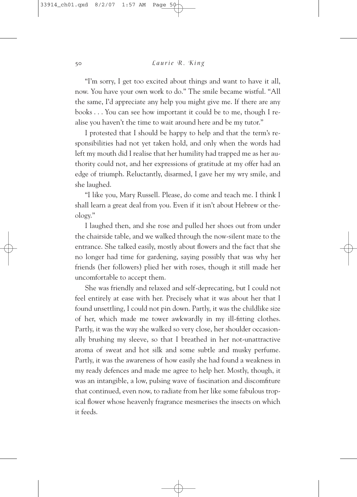"I'm sorry, I get too excited about things and want to have it all, now. You have your own work to do." The smile became wistful. "All the same, I'd appreciate any help you might give me. If there are any books . . . You can see how important it could be to me, though I realise you haven't the time to wait around here and be my tutor."

I protested that I should be happy to help and that the term's responsibilities had not yet taken hold, and only when the words had left my mouth did I realise that her humility had trapped me as her authority could not, and her expressions of gratitude at my offer had an edge of triumph. Reluctantly, disarmed, I gave her my wry smile, and she laughed.

"I like you, Mary Russell. Please, do come and teach me. I think I shall learn a great deal from you. Even if it isn't about Hebrew or theology."

I laughed then, and she rose and pulled her shoes out from under the chairside table, and we walked through the now-silent maze to the entrance. She talked easily, mostly about flowers and the fact that she no longer had time for gardening, saying possibly that was why her friends (her followers) plied her with roses, though it still made her uncomfortable to accept them.

She was friendly and relaxed and self-deprecating, but I could not feel entirely at ease with her. Precisely what it was about her that I found unsettling, I could not pin down. Partly, it was the childlike size of her, which made me tower awkwardly in my ill-fitting clothes. Partly, it was the way she walked so very close, her shoulder occasionally brushing my sleeve, so that I breathed in her not-unattractive aroma of sweat and hot silk and some subtle and musky perfume. Partly, it was the awareness of how easily she had found a weakness in my ready defences and made me agree to help her. Mostly, though, it was an intangible, a low, pulsing wave of fascination and discomfiture that continued, even now, to radiate from her like some fabulous tropical flower whose heavenly fragrance mesmerises the insects on which it feeds.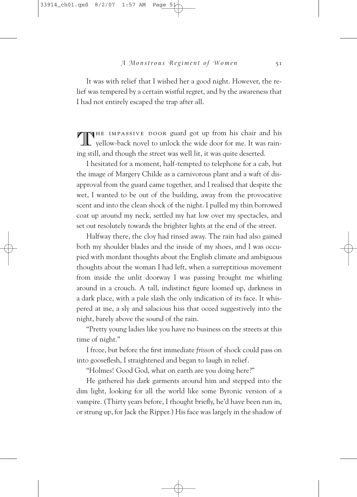It was with relief that I wished her a good night. However, the relief was tempered by a certain wistful regret, and by the awareness that I had not entirely escaped the trap after all.

THTHE IMPASSIVE DOOR guard got up from his chair and his **I** vellow-back novel to unlock the wide door for me. It was raining still, and though the street was well lit, it was quite deserted.

I hesitated for a moment, half-tempted to telephone for a cab, but the image of Margery Childe as a carnivorous plant and a waft of disapproval from the guard came together, and I realised that despite the wet, I wanted to be out of the building, away from the provocative scent and into the clean shock of the night. I pulled my thin borrowed coat up around my neck, settled my hat low over my spectacles, and set out resolutely towards the brighter lights at the end of the street.

Halfway there, the cloy had rinsed away. The rain had also gained both my shoulder blades and the inside of my shoes, and I was occupied with mordant thoughts about the English climate and ambiguous thoughts about the woman I had left, when a surreptitious movement from inside the unlit doorway I was passing brought me whirling around in a crouch. A tall, indistinct figure loomed up, darkness in a dark place, with a pale slash the only indication of its face. It whispered at me, a sly and salacious hiss that oozed suggestively into the night, barely above the sound of the rain.

"Pretty young ladies like you have no business on the streets at this time of night."

I froze, but before the first immediate *frisson* of shock could pass on into gooseflesh, I straightened and began to laugh in relief.

"Holmes! Good God, what on earth are you doing here?"

He gathered his dark garments around him and stepped into the dim light, looking for all the world like some Byronic version of a vampire. (Thirty years before, I thought briefly, he'd have been run in, or strung up, for Jack the Ripper.) His face was largely in the shadow of